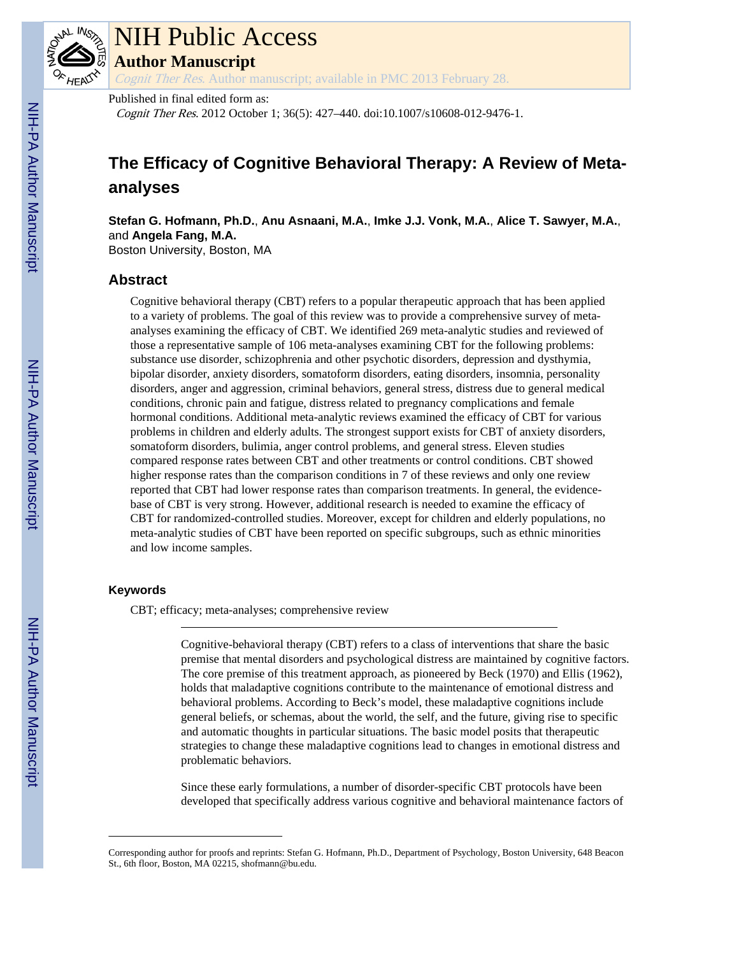

# NIH Public Access **Author Manuscript**

Cognit Ther Res. Author manuscript; available in PMC 2013 February 28.

Published in final edited form as:

Cognit Ther Res. 2012 October 1; 36(5): 427–440. doi:10.1007/s10608-012-9476-1.

# **The Efficacy of Cognitive Behavioral Therapy: A Review of Metaanalyses**

**Stefan G. Hofmann, Ph.D.**, **Anu Asnaani, M.A.**, **Imke J.J. Vonk, M.A.**, **Alice T. Sawyer, M.A.**, and **Angela Fang, M.A.** Boston University, Boston, MA

## **Abstract**

Cognitive behavioral therapy (CBT) refers to a popular therapeutic approach that has been applied to a variety of problems. The goal of this review was to provide a comprehensive survey of metaanalyses examining the efficacy of CBT. We identified 269 meta-analytic studies and reviewed of those a representative sample of 106 meta-analyses examining CBT for the following problems: substance use disorder, schizophrenia and other psychotic disorders, depression and dysthymia, bipolar disorder, anxiety disorders, somatoform disorders, eating disorders, insomnia, personality disorders, anger and aggression, criminal behaviors, general stress, distress due to general medical conditions, chronic pain and fatigue, distress related to pregnancy complications and female hormonal conditions. Additional meta-analytic reviews examined the efficacy of CBT for various problems in children and elderly adults. The strongest support exists for CBT of anxiety disorders, somatoform disorders, bulimia, anger control problems, and general stress. Eleven studies compared response rates between CBT and other treatments or control conditions. CBT showed higher response rates than the comparison conditions in 7 of these reviews and only one review reported that CBT had lower response rates than comparison treatments. In general, the evidencebase of CBT is very strong. However, additional research is needed to examine the efficacy of CBT for randomized-controlled studies. Moreover, except for children and elderly populations, no meta-analytic studies of CBT have been reported on specific subgroups, such as ethnic minorities and low income samples.

#### **Keywords**

CBT; efficacy; meta-analyses; comprehensive review

Cognitive-behavioral therapy (CBT) refers to a class of interventions that share the basic premise that mental disorders and psychological distress are maintained by cognitive factors. The core premise of this treatment approach, as pioneered by Beck (1970) and Ellis (1962), holds that maladaptive cognitions contribute to the maintenance of emotional distress and behavioral problems. According to Beck's model, these maladaptive cognitions include general beliefs, or schemas, about the world, the self, and the future, giving rise to specific and automatic thoughts in particular situations. The basic model posits that therapeutic strategies to change these maladaptive cognitions lead to changes in emotional distress and problematic behaviors.

Since these early formulations, a number of disorder-specific CBT protocols have been developed that specifically address various cognitive and behavioral maintenance factors of

Corresponding author for proofs and reprints: Stefan G. Hofmann, Ph.D., Department of Psychology, Boston University, 648 Beacon St., 6th floor, Boston, MA 02215, shofmann@bu.edu.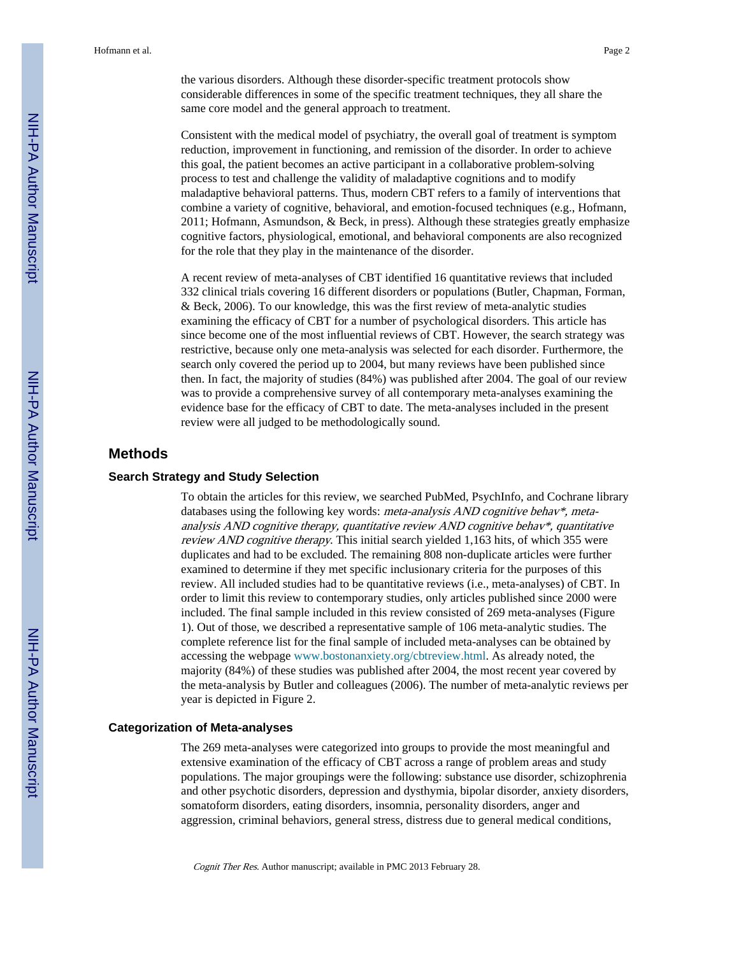the various disorders. Although these disorder-specific treatment protocols show considerable differences in some of the specific treatment techniques, they all share the same core model and the general approach to treatment.

Consistent with the medical model of psychiatry, the overall goal of treatment is symptom reduction, improvement in functioning, and remission of the disorder. In order to achieve this goal, the patient becomes an active participant in a collaborative problem-solving process to test and challenge the validity of maladaptive cognitions and to modify maladaptive behavioral patterns. Thus, modern CBT refers to a family of interventions that combine a variety of cognitive, behavioral, and emotion-focused techniques (e.g., Hofmann, 2011; Hofmann, Asmundson, & Beck, in press). Although these strategies greatly emphasize cognitive factors, physiological, emotional, and behavioral components are also recognized for the role that they play in the maintenance of the disorder.

A recent review of meta-analyses of CBT identified 16 quantitative reviews that included 332 clinical trials covering 16 different disorders or populations (Butler, Chapman, Forman, & Beck, 2006). To our knowledge, this was the first review of meta-analytic studies examining the efficacy of CBT for a number of psychological disorders. This article has since become one of the most influential reviews of CBT. However, the search strategy was restrictive, because only one meta-analysis was selected for each disorder. Furthermore, the search only covered the period up to 2004, but many reviews have been published since then. In fact, the majority of studies (84%) was published after 2004. The goal of our review was to provide a comprehensive survey of all contemporary meta-analyses examining the evidence base for the efficacy of CBT to date. The meta-analyses included in the present review were all judged to be methodologically sound.

#### **Methods**

#### **Search Strategy and Study Selection**

To obtain the articles for this review, we searched PubMed, PsychInfo, and Cochrane library databases using the following key words: *meta-analysis AND cognitive behav\**, *meta*analysis AND cognitive therapy, quantitative review AND cognitive behav\*, quantitative review AND cognitive therapy. This initial search yielded 1,163 hits, of which 355 were duplicates and had to be excluded. The remaining 808 non-duplicate articles were further examined to determine if they met specific inclusionary criteria for the purposes of this review. All included studies had to be quantitative reviews (i.e., meta-analyses) of CBT. In order to limit this review to contemporary studies, only articles published since 2000 were included. The final sample included in this review consisted of 269 meta-analyses (Figure 1). Out of those, we described a representative sample of 106 meta-analytic studies. The complete reference list for the final sample of included meta-analyses can be obtained by accessing the webpage [www.bostonanxiety.org/cbtreview.html.](http://www.bostonanxiety.org/cbtreview.html) As already noted, the majority (84%) of these studies was published after 2004, the most recent year covered by the meta-analysis by Butler and colleagues (2006). The number of meta-analytic reviews per year is depicted in Figure 2.

#### **Categorization of Meta-analyses**

The 269 meta-analyses were categorized into groups to provide the most meaningful and extensive examination of the efficacy of CBT across a range of problem areas and study populations. The major groupings were the following: substance use disorder, schizophrenia and other psychotic disorders, depression and dysthymia, bipolar disorder, anxiety disorders, somatoform disorders, eating disorders, insomnia, personality disorders, anger and aggression, criminal behaviors, general stress, distress due to general medical conditions,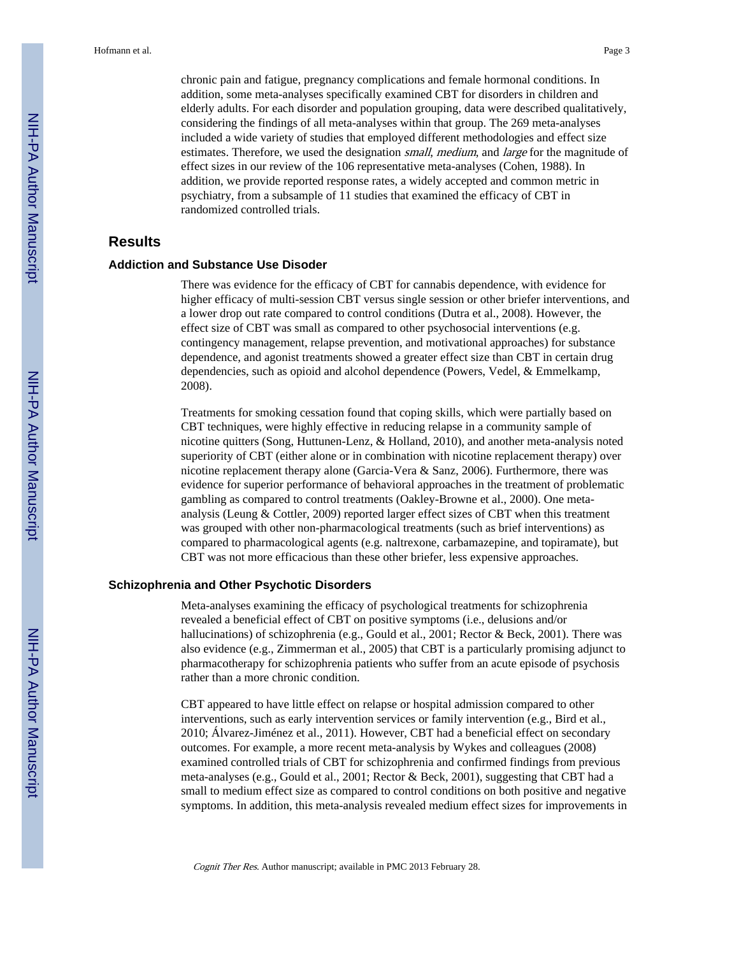chronic pain and fatigue, pregnancy complications and female hormonal conditions. In addition, some meta-analyses specifically examined CBT for disorders in children and elderly adults. For each disorder and population grouping, data were described qualitatively, considering the findings of all meta-analyses within that group. The 269 meta-analyses included a wide variety of studies that employed different methodologies and effect size estimates. Therefore, we used the designation *small, medium*, and *large* for the magnitude of effect sizes in our review of the 106 representative meta-analyses (Cohen, 1988). In addition, we provide reported response rates, a widely accepted and common metric in psychiatry, from a subsample of 11 studies that examined the efficacy of CBT in randomized controlled trials.

# **Results**

#### **Addiction and Substance Use Disoder**

There was evidence for the efficacy of CBT for cannabis dependence, with evidence for higher efficacy of multi-session CBT versus single session or other briefer interventions, and a lower drop out rate compared to control conditions (Dutra et al., 2008). However, the effect size of CBT was small as compared to other psychosocial interventions (e.g. contingency management, relapse prevention, and motivational approaches) for substance dependence, and agonist treatments showed a greater effect size than CBT in certain drug dependencies, such as opioid and alcohol dependence (Powers, Vedel, & Emmelkamp, 2008).

Treatments for smoking cessation found that coping skills, which were partially based on CBT techniques, were highly effective in reducing relapse in a community sample of nicotine quitters (Song, Huttunen-Lenz, & Holland, 2010), and another meta-analysis noted superiority of CBT (either alone or in combination with nicotine replacement therapy) over nicotine replacement therapy alone (Garcia-Vera & Sanz, 2006). Furthermore, there was evidence for superior performance of behavioral approaches in the treatment of problematic gambling as compared to control treatments (Oakley-Browne et al., 2000). One metaanalysis (Leung & Cottler, 2009) reported larger effect sizes of CBT when this treatment was grouped with other non-pharmacological treatments (such as brief interventions) as compared to pharmacological agents (e.g. naltrexone, carbamazepine, and topiramate), but CBT was not more efficacious than these other briefer, less expensive approaches.

#### **Schizophrenia and Other Psychotic Disorders**

Meta-analyses examining the efficacy of psychological treatments for schizophrenia revealed a beneficial effect of CBT on positive symptoms (i.e., delusions and/or hallucinations) of schizophrenia (e.g., Gould et al., 2001; Rector & Beck, 2001). There was also evidence (e.g., Zimmerman et al., 2005) that CBT is a particularly promising adjunct to pharmacotherapy for schizophrenia patients who suffer from an acute episode of psychosis rather than a more chronic condition.

CBT appeared to have little effect on relapse or hospital admission compared to other interventions, such as early intervention services or family intervention (e.g., Bird et al., 2010; Álvarez-Jiménez et al., 2011). However, CBT had a beneficial effect on secondary outcomes. For example, a more recent meta-analysis by Wykes and colleagues (2008) examined controlled trials of CBT for schizophrenia and confirmed findings from previous meta-analyses (e.g., Gould et al., 2001; Rector & Beck, 2001), suggesting that CBT had a small to medium effect size as compared to control conditions on both positive and negative symptoms. In addition, this meta-analysis revealed medium effect sizes for improvements in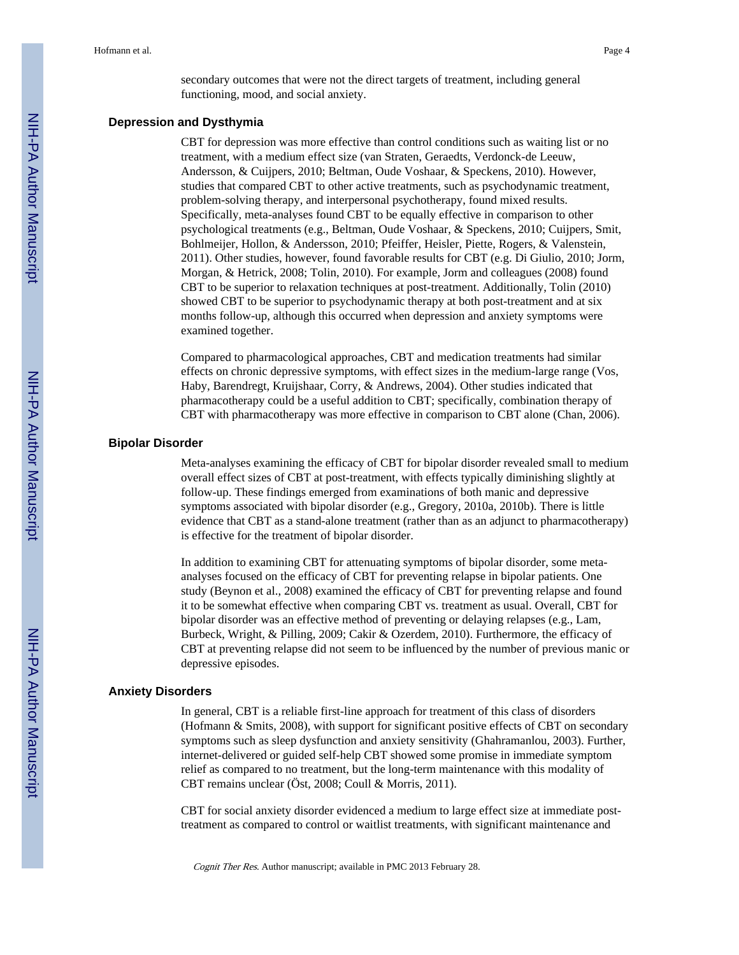secondary outcomes that were not the direct targets of treatment, including general functioning, mood, and social anxiety.

#### **Depression and Dysthymia**

CBT for depression was more effective than control conditions such as waiting list or no treatment, with a medium effect size (van Straten, Geraedts, Verdonck-de Leeuw, Andersson, & Cuijpers, 2010; Beltman, Oude Voshaar, & Speckens, 2010). However, studies that compared CBT to other active treatments, such as psychodynamic treatment, problem-solving therapy, and interpersonal psychotherapy, found mixed results. Specifically, meta-analyses found CBT to be equally effective in comparison to other psychological treatments (e.g., Beltman, Oude Voshaar, & Speckens, 2010; Cuijpers, Smit, Bohlmeijer, Hollon, & Andersson, 2010; Pfeiffer, Heisler, Piette, Rogers, & Valenstein, 2011). Other studies, however, found favorable results for CBT (e.g. Di Giulio, 2010; Jorm, Morgan, & Hetrick, 2008; Tolin, 2010). For example, Jorm and colleagues (2008) found CBT to be superior to relaxation techniques at post-treatment. Additionally, Tolin (2010) showed CBT to be superior to psychodynamic therapy at both post-treatment and at six months follow-up, although this occurred when depression and anxiety symptoms were examined together.

Compared to pharmacological approaches, CBT and medication treatments had similar effects on chronic depressive symptoms, with effect sizes in the medium-large range (Vos, Haby, Barendregt, Kruijshaar, Corry, & Andrews, 2004). Other studies indicated that pharmacotherapy could be a useful addition to CBT; specifically, combination therapy of CBT with pharmacotherapy was more effective in comparison to CBT alone (Chan, 2006).

#### **Bipolar Disorder**

Meta-analyses examining the efficacy of CBT for bipolar disorder revealed small to medium overall effect sizes of CBT at post-treatment, with effects typically diminishing slightly at follow-up. These findings emerged from examinations of both manic and depressive symptoms associated with bipolar disorder (e.g., Gregory, 2010a, 2010b). There is little evidence that CBT as a stand-alone treatment (rather than as an adjunct to pharmacotherapy) is effective for the treatment of bipolar disorder.

In addition to examining CBT for attenuating symptoms of bipolar disorder, some metaanalyses focused on the efficacy of CBT for preventing relapse in bipolar patients. One study (Beynon et al., 2008) examined the efficacy of CBT for preventing relapse and found it to be somewhat effective when comparing CBT vs. treatment as usual. Overall, CBT for bipolar disorder was an effective method of preventing or delaying relapses (e.g., Lam, Burbeck, Wright, & Pilling, 2009; Cakir & Ozerdem, 2010). Furthermore, the efficacy of CBT at preventing relapse did not seem to be influenced by the number of previous manic or depressive episodes.

#### **Anxiety Disorders**

In general, CBT is a reliable first-line approach for treatment of this class of disorders (Hofmann & Smits, 2008), with support for significant positive effects of CBT on secondary symptoms such as sleep dysfunction and anxiety sensitivity (Ghahramanlou, 2003). Further, internet-delivered or guided self-help CBT showed some promise in immediate symptom relief as compared to no treatment, but the long-term maintenance with this modality of CBT remains unclear (Öst, 2008; Coull & Morris, 2011).

CBT for social anxiety disorder evidenced a medium to large effect size at immediate posttreatment as compared to control or waitlist treatments, with significant maintenance and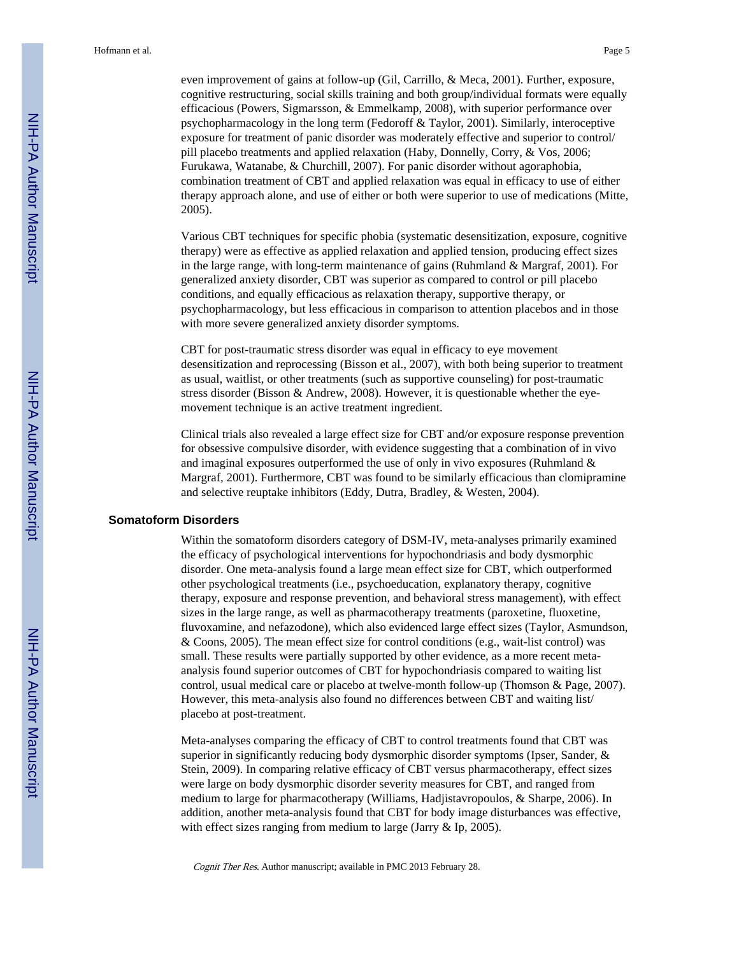even improvement of gains at follow-up (Gil, Carrillo, & Meca, 2001). Further, exposure, cognitive restructuring, social skills training and both group/individual formats were equally efficacious (Powers, Sigmarsson, & Emmelkamp, 2008), with superior performance over psychopharmacology in the long term (Fedoroff & Taylor, 2001). Similarly, interoceptive exposure for treatment of panic disorder was moderately effective and superior to control/ pill placebo treatments and applied relaxation (Haby, Donnelly, Corry, & Vos, 2006; Furukawa, Watanabe, & Churchill, 2007). For panic disorder without agoraphobia, combination treatment of CBT and applied relaxation was equal in efficacy to use of either therapy approach alone, and use of either or both were superior to use of medications (Mitte, 2005).

Various CBT techniques for specific phobia (systematic desensitization, exposure, cognitive therapy) were as effective as applied relaxation and applied tension, producing effect sizes in the large range, with long-term maintenance of gains (Ruhmland & Margraf, 2001). For generalized anxiety disorder, CBT was superior as compared to control or pill placebo conditions, and equally efficacious as relaxation therapy, supportive therapy, or psychopharmacology, but less efficacious in comparison to attention placebos and in those with more severe generalized anxiety disorder symptoms.

CBT for post-traumatic stress disorder was equal in efficacy to eye movement desensitization and reprocessing (Bisson et al., 2007), with both being superior to treatment as usual, waitlist, or other treatments (such as supportive counseling) for post-traumatic stress disorder (Bisson & Andrew, 2008). However, it is questionable whether the eyemovement technique is an active treatment ingredient.

Clinical trials also revealed a large effect size for CBT and/or exposure response prevention for obsessive compulsive disorder, with evidence suggesting that a combination of in vivo and imaginal exposures outperformed the use of only in vivo exposures (Ruhmland & Margraf, 2001). Furthermore, CBT was found to be similarly efficacious than clomipramine and selective reuptake inhibitors (Eddy, Dutra, Bradley, & Westen, 2004).

#### **Somatoform Disorders**

Within the somatoform disorders category of DSM-IV, meta-analyses primarily examined the efficacy of psychological interventions for hypochondriasis and body dysmorphic disorder. One meta-analysis found a large mean effect size for CBT, which outperformed other psychological treatments (i.e., psychoeducation, explanatory therapy, cognitive therapy, exposure and response prevention, and behavioral stress management), with effect sizes in the large range, as well as pharmacotherapy treatments (paroxetine, fluoxetine, fluvoxamine, and nefazodone), which also evidenced large effect sizes (Taylor, Asmundson, & Coons, 2005). The mean effect size for control conditions (e.g., wait-list control) was small. These results were partially supported by other evidence, as a more recent metaanalysis found superior outcomes of CBT for hypochondriasis compared to waiting list control, usual medical care or placebo at twelve-month follow-up (Thomson & Page, 2007). However, this meta-analysis also found no differences between CBT and waiting list/ placebo at post-treatment.

Meta-analyses comparing the efficacy of CBT to control treatments found that CBT was superior in significantly reducing body dysmorphic disorder symptoms (Ipser, Sander, & Stein, 2009). In comparing relative efficacy of CBT versus pharmacotherapy, effect sizes were large on body dysmorphic disorder severity measures for CBT, and ranged from medium to large for pharmacotherapy (Williams, Hadjistavropoulos, & Sharpe, 2006). In addition, another meta-analysis found that CBT for body image disturbances was effective, with effect sizes ranging from medium to large (Jarry & Ip, 2005).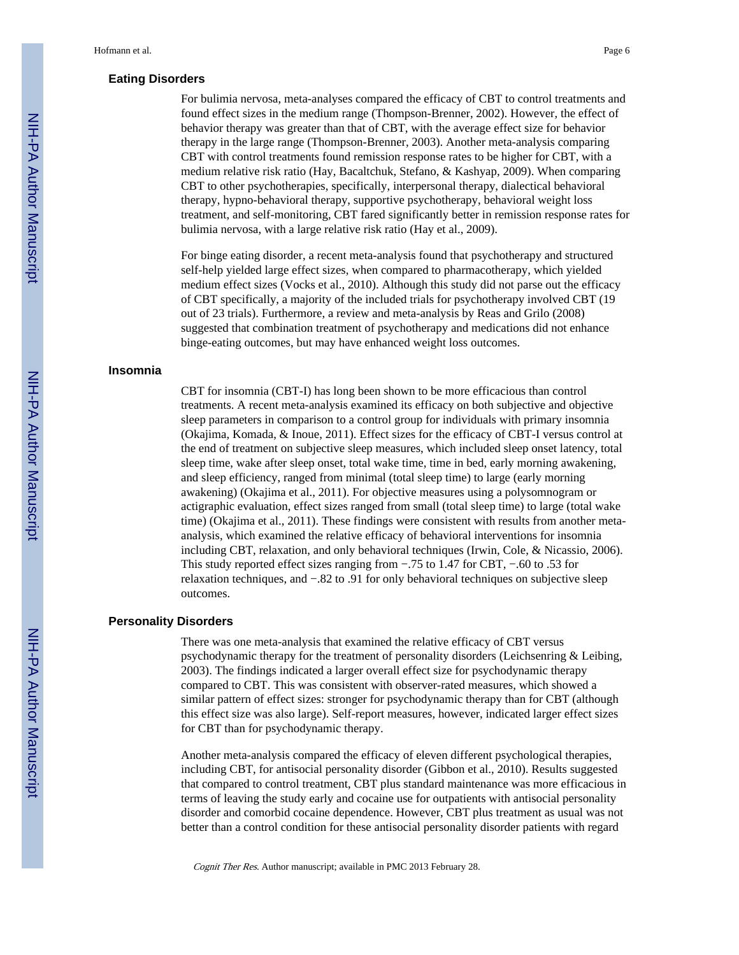#### **Eating Disorders**

For bulimia nervosa, meta-analyses compared the efficacy of CBT to control treatments and found effect sizes in the medium range (Thompson-Brenner, 2002). However, the effect of behavior therapy was greater than that of CBT, with the average effect size for behavior therapy in the large range (Thompson-Brenner, 2003). Another meta-analysis comparing CBT with control treatments found remission response rates to be higher for CBT, with a medium relative risk ratio (Hay, Bacaltchuk, Stefano, & Kashyap, 2009). When comparing CBT to other psychotherapies, specifically, interpersonal therapy, dialectical behavioral therapy, hypno-behavioral therapy, supportive psychotherapy, behavioral weight loss treatment, and self-monitoring, CBT fared significantly better in remission response rates for bulimia nervosa, with a large relative risk ratio (Hay et al., 2009).

For binge eating disorder, a recent meta-analysis found that psychotherapy and structured self-help yielded large effect sizes, when compared to pharmacotherapy, which yielded medium effect sizes (Vocks et al., 2010). Although this study did not parse out the efficacy of CBT specifically, a majority of the included trials for psychotherapy involved CBT (19 out of 23 trials). Furthermore, a review and meta-analysis by Reas and Grilo (2008) suggested that combination treatment of psychotherapy and medications did not enhance binge-eating outcomes, but may have enhanced weight loss outcomes.

#### **Insomnia**

CBT for insomnia (CBT-I) has long been shown to be more efficacious than control treatments. A recent meta-analysis examined its efficacy on both subjective and objective sleep parameters in comparison to a control group for individuals with primary insomnia (Okajima, Komada, & Inoue, 2011). Effect sizes for the efficacy of CBT-I versus control at the end of treatment on subjective sleep measures, which included sleep onset latency, total sleep time, wake after sleep onset, total wake time, time in bed, early morning awakening, and sleep efficiency, ranged from minimal (total sleep time) to large (early morning awakening) (Okajima et al., 2011). For objective measures using a polysomnogram or actigraphic evaluation, effect sizes ranged from small (total sleep time) to large (total wake time) (Okajima et al., 2011). These findings were consistent with results from another metaanalysis, which examined the relative efficacy of behavioral interventions for insomnia including CBT, relaxation, and only behavioral techniques (Irwin, Cole, & Nicassio, 2006). This study reported effect sizes ranging from −.75 to 1.47 for CBT, −.60 to .53 for relaxation techniques, and −.82 to .91 for only behavioral techniques on subjective sleep outcomes.

#### **Personality Disorders**

There was one meta-analysis that examined the relative efficacy of CBT versus psychodynamic therapy for the treatment of personality disorders (Leichsenring & Leibing, 2003). The findings indicated a larger overall effect size for psychodynamic therapy compared to CBT. This was consistent with observer-rated measures, which showed a similar pattern of effect sizes: stronger for psychodynamic therapy than for CBT (although this effect size was also large). Self-report measures, however, indicated larger effect sizes for CBT than for psychodynamic therapy.

Another meta-analysis compared the efficacy of eleven different psychological therapies, including CBT, for antisocial personality disorder (Gibbon et al., 2010). Results suggested that compared to control treatment, CBT plus standard maintenance was more efficacious in terms of leaving the study early and cocaine use for outpatients with antisocial personality disorder and comorbid cocaine dependence. However, CBT plus treatment as usual was not better than a control condition for these antisocial personality disorder patients with regard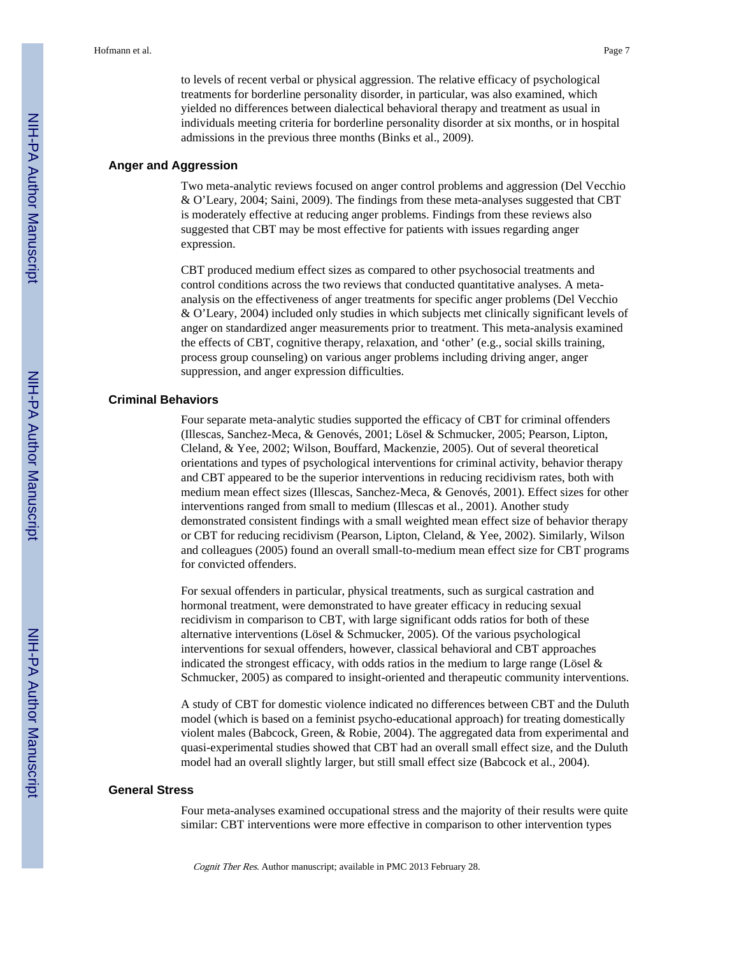to levels of recent verbal or physical aggression. The relative efficacy of psychological treatments for borderline personality disorder, in particular, was also examined, which yielded no differences between dialectical behavioral therapy and treatment as usual in individuals meeting criteria for borderline personality disorder at six months, or in hospital admissions in the previous three months (Binks et al., 2009).

#### **Anger and Aggression**

Two meta-analytic reviews focused on anger control problems and aggression (Del Vecchio & O'Leary, 2004; Saini, 2009). The findings from these meta-analyses suggested that CBT is moderately effective at reducing anger problems. Findings from these reviews also suggested that CBT may be most effective for patients with issues regarding anger expression.

CBT produced medium effect sizes as compared to other psychosocial treatments and control conditions across the two reviews that conducted quantitative analyses. A metaanalysis on the effectiveness of anger treatments for specific anger problems (Del Vecchio & O'Leary, 2004) included only studies in which subjects met clinically significant levels of anger on standardized anger measurements prior to treatment. This meta-analysis examined the effects of CBT, cognitive therapy, relaxation, and 'other' (e.g., social skills training, process group counseling) on various anger problems including driving anger, anger suppression, and anger expression difficulties.

#### **Criminal Behaviors**

Four separate meta-analytic studies supported the efficacy of CBT for criminal offenders (Illescas, Sanchez-Meca, & Genovés, 2001; Lösel & Schmucker, 2005; Pearson, Lipton, Cleland, & Yee, 2002; Wilson, Bouffard, Mackenzie, 2005). Out of several theoretical orientations and types of psychological interventions for criminal activity, behavior therapy and CBT appeared to be the superior interventions in reducing recidivism rates, both with medium mean effect sizes (Illescas, Sanchez-Meca, & Genovés, 2001). Effect sizes for other interventions ranged from small to medium (Illescas et al., 2001). Another study demonstrated consistent findings with a small weighted mean effect size of behavior therapy or CBT for reducing recidivism (Pearson, Lipton, Cleland, & Yee, 2002). Similarly, Wilson and colleagues (2005) found an overall small-to-medium mean effect size for CBT programs for convicted offenders.

For sexual offenders in particular, physical treatments, such as surgical castration and hormonal treatment, were demonstrated to have greater efficacy in reducing sexual recidivism in comparison to CBT, with large significant odds ratios for both of these alternative interventions (Lösel & Schmucker, 2005). Of the various psychological interventions for sexual offenders, however, classical behavioral and CBT approaches indicated the strongest efficacy, with odds ratios in the medium to large range (Lösel  $\&$ Schmucker, 2005) as compared to insight-oriented and therapeutic community interventions.

A study of CBT for domestic violence indicated no differences between CBT and the Duluth model (which is based on a feminist psycho-educational approach) for treating domestically violent males (Babcock, Green, & Robie, 2004). The aggregated data from experimental and quasi-experimental studies showed that CBT had an overall small effect size, and the Duluth model had an overall slightly larger, but still small effect size (Babcock et al., 2004).

#### **General Stress**

Four meta-analyses examined occupational stress and the majority of their results were quite similar: CBT interventions were more effective in comparison to other intervention types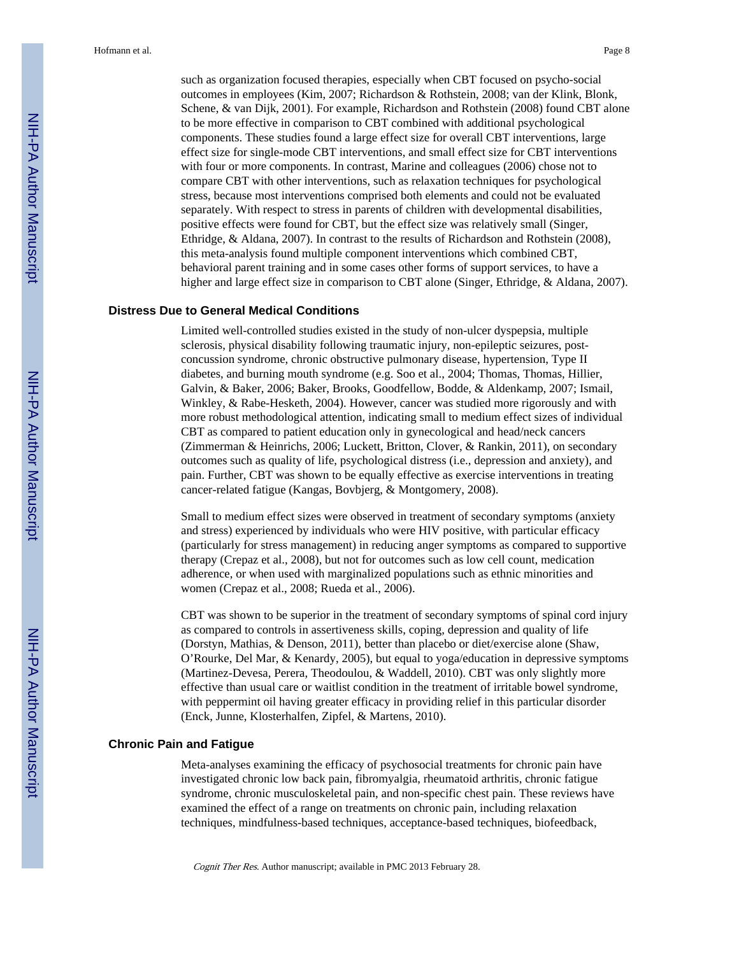such as organization focused therapies, especially when CBT focused on psycho-social outcomes in employees (Kim, 2007; Richardson & Rothstein, 2008; van der Klink, Blonk, Schene, & van Dijk, 2001). For example, Richardson and Rothstein (2008) found CBT alone to be more effective in comparison to CBT combined with additional psychological components. These studies found a large effect size for overall CBT interventions, large effect size for single-mode CBT interventions, and small effect size for CBT interventions with four or more components. In contrast, Marine and colleagues (2006) chose not to compare CBT with other interventions, such as relaxation techniques for psychological stress, because most interventions comprised both elements and could not be evaluated separately. With respect to stress in parents of children with developmental disabilities, positive effects were found for CBT, but the effect size was relatively small (Singer, Ethridge, & Aldana, 2007). In contrast to the results of Richardson and Rothstein (2008), this meta-analysis found multiple component interventions which combined CBT, behavioral parent training and in some cases other forms of support services, to have a higher and large effect size in comparison to CBT alone (Singer, Ethridge, & Aldana, 2007).

#### **Distress Due to General Medical Conditions**

Limited well-controlled studies existed in the study of non-ulcer dyspepsia, multiple sclerosis, physical disability following traumatic injury, non-epileptic seizures, postconcussion syndrome, chronic obstructive pulmonary disease, hypertension, Type II diabetes, and burning mouth syndrome (e.g. Soo et al., 2004; Thomas, Thomas, Hillier, Galvin, & Baker, 2006; Baker, Brooks, Goodfellow, Bodde, & Aldenkamp, 2007; Ismail, Winkley, & Rabe-Hesketh, 2004). However, cancer was studied more rigorously and with more robust methodological attention, indicating small to medium effect sizes of individual CBT as compared to patient education only in gynecological and head/neck cancers (Zimmerman & Heinrichs, 2006; Luckett, Britton, Clover, & Rankin, 2011), on secondary outcomes such as quality of life, psychological distress (i.e., depression and anxiety), and pain. Further, CBT was shown to be equally effective as exercise interventions in treating cancer-related fatigue (Kangas, Bovbjerg, & Montgomery, 2008).

Small to medium effect sizes were observed in treatment of secondary symptoms (anxiety and stress) experienced by individuals who were HIV positive, with particular efficacy (particularly for stress management) in reducing anger symptoms as compared to supportive therapy (Crepaz et al., 2008), but not for outcomes such as low cell count, medication adherence, or when used with marginalized populations such as ethnic minorities and women (Crepaz et al., 2008; Rueda et al., 2006).

CBT was shown to be superior in the treatment of secondary symptoms of spinal cord injury as compared to controls in assertiveness skills, coping, depression and quality of life (Dorstyn, Mathias, & Denson, 2011), better than placebo or diet/exercise alone (Shaw, O'Rourke, Del Mar, & Kenardy, 2005), but equal to yoga/education in depressive symptoms (Martinez-Devesa, Perera, Theodoulou, & Waddell, 2010). CBT was only slightly more effective than usual care or waitlist condition in the treatment of irritable bowel syndrome, with peppermint oil having greater efficacy in providing relief in this particular disorder (Enck, Junne, Klosterhalfen, Zipfel, & Martens, 2010).

#### **Chronic Pain and Fatigue**

Meta-analyses examining the efficacy of psychosocial treatments for chronic pain have investigated chronic low back pain, fibromyalgia, rheumatoid arthritis, chronic fatigue syndrome, chronic musculoskeletal pain, and non-specific chest pain. These reviews have examined the effect of a range on treatments on chronic pain, including relaxation techniques, mindfulness-based techniques, acceptance-based techniques, biofeedback,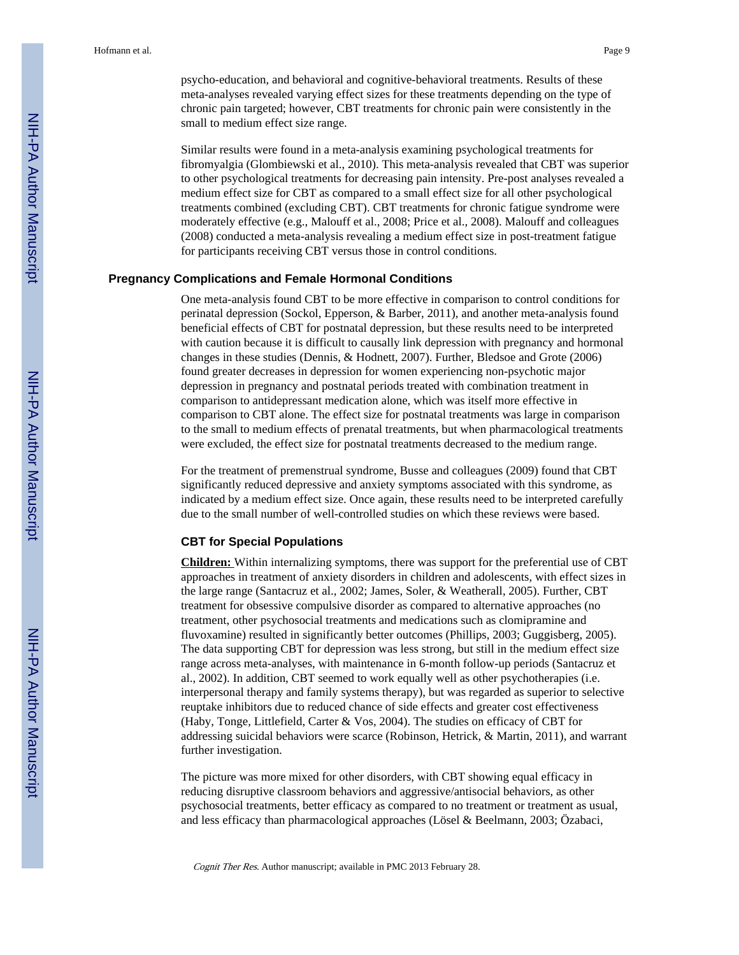psycho-education, and behavioral and cognitive-behavioral treatments. Results of these meta-analyses revealed varying effect sizes for these treatments depending on the type of chronic pain targeted; however, CBT treatments for chronic pain were consistently in the small to medium effect size range.

Similar results were found in a meta-analysis examining psychological treatments for fibromyalgia (Glombiewski et al., 2010). This meta-analysis revealed that CBT was superior to other psychological treatments for decreasing pain intensity. Pre-post analyses revealed a medium effect size for CBT as compared to a small effect size for all other psychological treatments combined (excluding CBT). CBT treatments for chronic fatigue syndrome were moderately effective (e.g., Malouff et al., 2008; Price et al., 2008). Malouff and colleagues (2008) conducted a meta-analysis revealing a medium effect size in post-treatment fatigue for participants receiving CBT versus those in control conditions.

#### **Pregnancy Complications and Female Hormonal Conditions**

One meta-analysis found CBT to be more effective in comparison to control conditions for perinatal depression (Sockol, Epperson, & Barber, 2011), and another meta-analysis found beneficial effects of CBT for postnatal depression, but these results need to be interpreted with caution because it is difficult to causally link depression with pregnancy and hormonal changes in these studies (Dennis, & Hodnett, 2007). Further, Bledsoe and Grote (2006) found greater decreases in depression for women experiencing non-psychotic major depression in pregnancy and postnatal periods treated with combination treatment in comparison to antidepressant medication alone, which was itself more effective in comparison to CBT alone. The effect size for postnatal treatments was large in comparison to the small to medium effects of prenatal treatments, but when pharmacological treatments were excluded, the effect size for postnatal treatments decreased to the medium range.

For the treatment of premenstrual syndrome, Busse and colleagues (2009) found that CBT significantly reduced depressive and anxiety symptoms associated with this syndrome, as indicated by a medium effect size. Once again, these results need to be interpreted carefully due to the small number of well-controlled studies on which these reviews were based.

## **CBT for Special Populations**

**Children:** Within internalizing symptoms, there was support for the preferential use of CBT approaches in treatment of anxiety disorders in children and adolescents, with effect sizes in the large range (Santacruz et al., 2002; James, Soler, & Weatherall, 2005). Further, CBT treatment for obsessive compulsive disorder as compared to alternative approaches (no treatment, other psychosocial treatments and medications such as clomipramine and fluvoxamine) resulted in significantly better outcomes (Phillips, 2003; Guggisberg, 2005). The data supporting CBT for depression was less strong, but still in the medium effect size range across meta-analyses, with maintenance in 6-month follow-up periods (Santacruz et al., 2002). In addition, CBT seemed to work equally well as other psychotherapies (i.e. interpersonal therapy and family systems therapy), but was regarded as superior to selective reuptake inhibitors due to reduced chance of side effects and greater cost effectiveness (Haby, Tonge, Littlefield, Carter & Vos, 2004). The studies on efficacy of CBT for addressing suicidal behaviors were scarce (Robinson, Hetrick, & Martin, 2011), and warrant further investigation.

The picture was more mixed for other disorders, with CBT showing equal efficacy in reducing disruptive classroom behaviors and aggressive/antisocial behaviors, as other psychosocial treatments, better efficacy as compared to no treatment or treatment as usual, and less efficacy than pharmacological approaches (Lösel & Beelmann, 2003; Özabaci,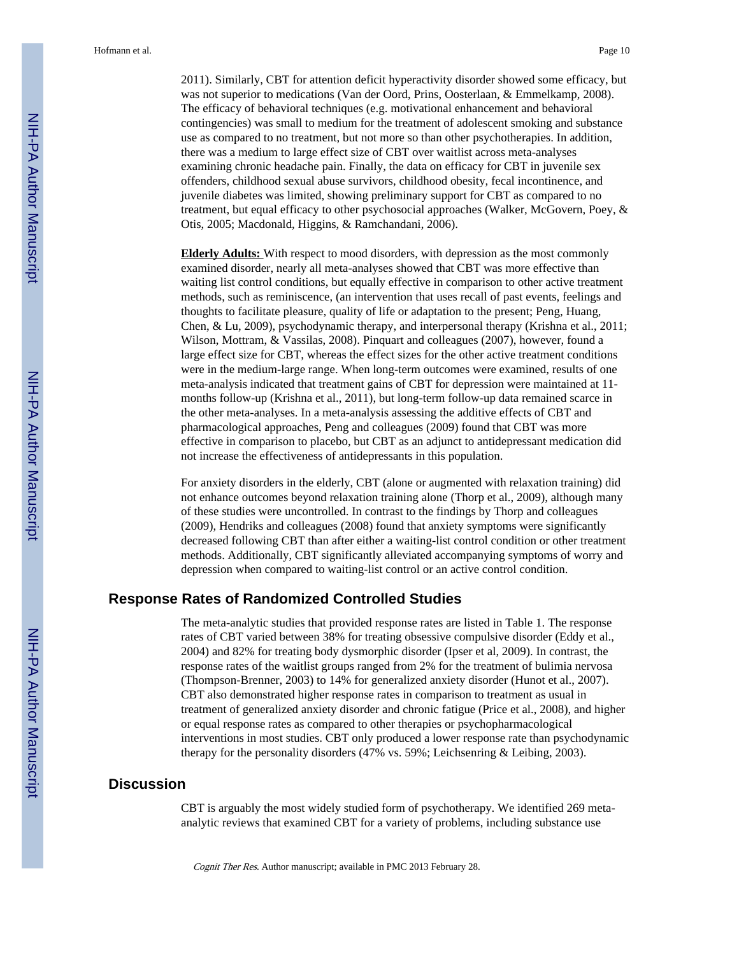2011). Similarly, CBT for attention deficit hyperactivity disorder showed some efficacy, but was not superior to medications (Van der Oord, Prins, Oosterlaan, & Emmelkamp, 2008). The efficacy of behavioral techniques (e.g. motivational enhancement and behavioral contingencies) was small to medium for the treatment of adolescent smoking and substance use as compared to no treatment, but not more so than other psychotherapies. In addition, there was a medium to large effect size of CBT over waitlist across meta-analyses examining chronic headache pain. Finally, the data on efficacy for CBT in juvenile sex offenders, childhood sexual abuse survivors, childhood obesity, fecal incontinence, and juvenile diabetes was limited, showing preliminary support for CBT as compared to no treatment, but equal efficacy to other psychosocial approaches (Walker, McGovern, Poey, & Otis, 2005; Macdonald, Higgins, & Ramchandani, 2006).

**Elderly Adults:** With respect to mood disorders, with depression as the most commonly examined disorder, nearly all meta-analyses showed that CBT was more effective than waiting list control conditions, but equally effective in comparison to other active treatment methods, such as reminiscence, (an intervention that uses recall of past events, feelings and thoughts to facilitate pleasure, quality of life or adaptation to the present; Peng, Huang, Chen, & Lu, 2009), psychodynamic therapy, and interpersonal therapy (Krishna et al., 2011; Wilson, Mottram, & Vassilas, 2008). Pinquart and colleagues (2007), however, found a large effect size for CBT, whereas the effect sizes for the other active treatment conditions were in the medium-large range. When long-term outcomes were examined, results of one meta-analysis indicated that treatment gains of CBT for depression were maintained at 11 months follow-up (Krishna et al., 2011), but long-term follow-up data remained scarce in the other meta-analyses. In a meta-analysis assessing the additive effects of CBT and pharmacological approaches, Peng and colleagues (2009) found that CBT was more effective in comparison to placebo, but CBT as an adjunct to antidepressant medication did not increase the effectiveness of antidepressants in this population.

For anxiety disorders in the elderly, CBT (alone or augmented with relaxation training) did not enhance outcomes beyond relaxation training alone (Thorp et al., 2009), although many of these studies were uncontrolled. In contrast to the findings by Thorp and colleagues (2009), Hendriks and colleagues (2008) found that anxiety symptoms were significantly decreased following CBT than after either a waiting-list control condition or other treatment methods. Additionally, CBT significantly alleviated accompanying symptoms of worry and depression when compared to waiting-list control or an active control condition.

## **Response Rates of Randomized Controlled Studies**

The meta-analytic studies that provided response rates are listed in Table 1. The response rates of CBT varied between 38% for treating obsessive compulsive disorder (Eddy et al., 2004) and 82% for treating body dysmorphic disorder (Ipser et al, 2009). In contrast, the response rates of the waitlist groups ranged from 2% for the treatment of bulimia nervosa (Thompson-Brenner, 2003) to 14% for generalized anxiety disorder (Hunot et al., 2007). CBT also demonstrated higher response rates in comparison to treatment as usual in treatment of generalized anxiety disorder and chronic fatigue (Price et al., 2008), and higher or equal response rates as compared to other therapies or psychopharmacological interventions in most studies. CBT only produced a lower response rate than psychodynamic therapy for the personality disorders (47% vs. 59%; Leichsenring & Leibing, 2003).

# **Discussion**

CBT is arguably the most widely studied form of psychotherapy. We identified 269 metaanalytic reviews that examined CBT for a variety of problems, including substance use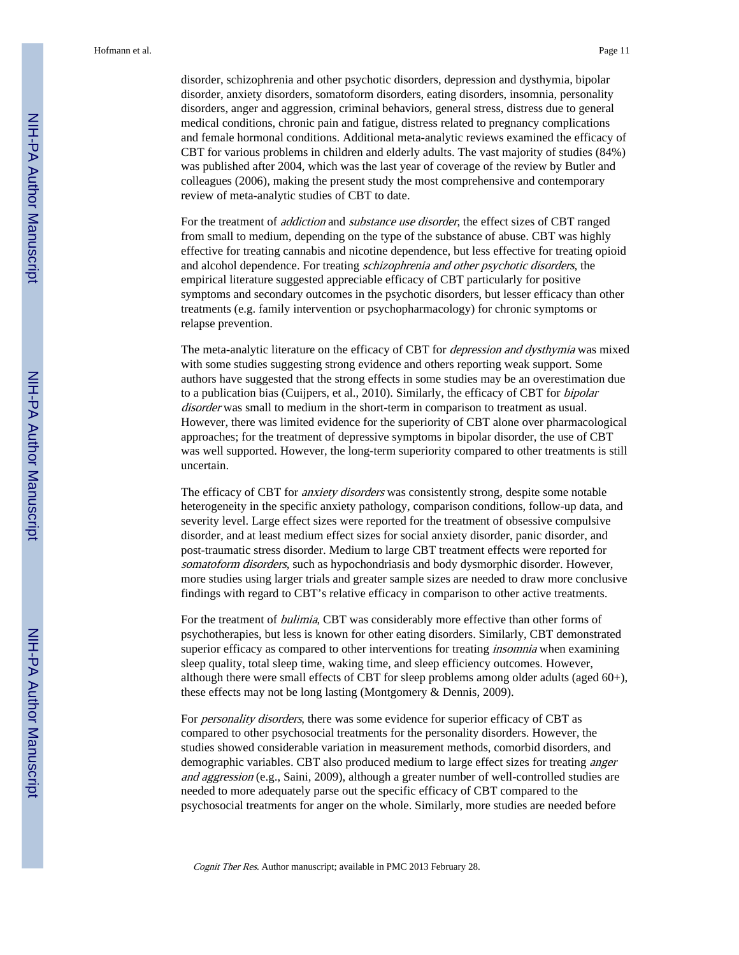disorder, schizophrenia and other psychotic disorders, depression and dysthymia, bipolar disorder, anxiety disorders, somatoform disorders, eating disorders, insomnia, personality disorders, anger and aggression, criminal behaviors, general stress, distress due to general medical conditions, chronic pain and fatigue, distress related to pregnancy complications and female hormonal conditions. Additional meta-analytic reviews examined the efficacy of CBT for various problems in children and elderly adults. The vast majority of studies (84%) was published after 2004, which was the last year of coverage of the review by Butler and colleagues (2006), making the present study the most comprehensive and contemporary review of meta-analytic studies of CBT to date.

For the treatment of *addiction* and *substance use disorder*, the effect sizes of CBT ranged from small to medium, depending on the type of the substance of abuse. CBT was highly effective for treating cannabis and nicotine dependence, but less effective for treating opioid and alcohol dependence. For treating schizophrenia and other psychotic disorders, the empirical literature suggested appreciable efficacy of CBT particularly for positive symptoms and secondary outcomes in the psychotic disorders, but lesser efficacy than other treatments (e.g. family intervention or psychopharmacology) for chronic symptoms or relapse prevention.

The meta-analytic literature on the efficacy of CBT for depression and dysthymia was mixed with some studies suggesting strong evidence and others reporting weak support. Some authors have suggested that the strong effects in some studies may be an overestimation due to a publication bias (Cuijpers, et al., 2010). Similarly, the efficacy of CBT for bipolar disorder was small to medium in the short-term in comparison to treatment as usual. However, there was limited evidence for the superiority of CBT alone over pharmacological approaches; for the treatment of depressive symptoms in bipolar disorder, the use of CBT was well supported. However, the long-term superiority compared to other treatments is still uncertain.

The efficacy of CBT for *anxiety disorders* was consistently strong, despite some notable heterogeneity in the specific anxiety pathology, comparison conditions, follow-up data, and severity level. Large effect sizes were reported for the treatment of obsessive compulsive disorder, and at least medium effect sizes for social anxiety disorder, panic disorder, and post-traumatic stress disorder. Medium to large CBT treatment effects were reported for somatoform disorders, such as hypochondriasis and body dysmorphic disorder. However, more studies using larger trials and greater sample sizes are needed to draw more conclusive findings with regard to CBT's relative efficacy in comparison to other active treatments.

For the treatment of bulimia, CBT was considerably more effective than other forms of psychotherapies, but less is known for other eating disorders. Similarly, CBT demonstrated superior efficacy as compared to other interventions for treating *insomnia* when examining sleep quality, total sleep time, waking time, and sleep efficiency outcomes. However, although there were small effects of CBT for sleep problems among older adults (aged 60+), these effects may not be long lasting (Montgomery & Dennis, 2009).

For personality disorders, there was some evidence for superior efficacy of CBT as compared to other psychosocial treatments for the personality disorders. However, the studies showed considerable variation in measurement methods, comorbid disorders, and demographic variables. CBT also produced medium to large effect sizes for treating anger and aggression (e.g., Saini, 2009), although a greater number of well-controlled studies are needed to more adequately parse out the specific efficacy of CBT compared to the psychosocial treatments for anger on the whole. Similarly, more studies are needed before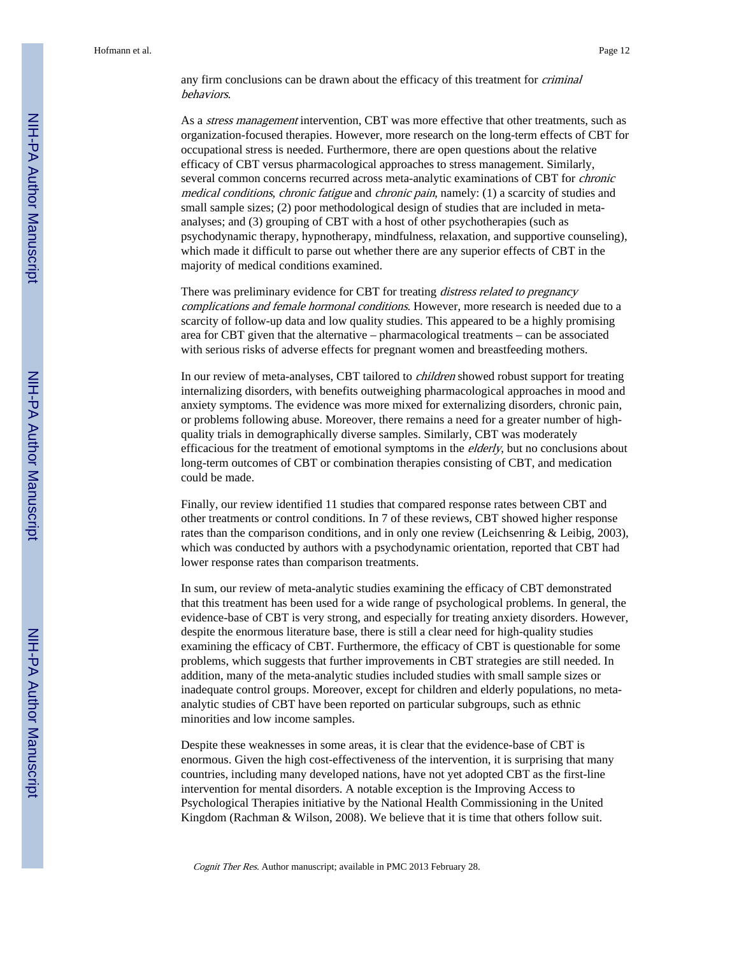any firm conclusions can be drawn about the efficacy of this treatment for criminal behaviors.

As a stress management intervention, CBT was more effective that other treatments, such as organization-focused therapies. However, more research on the long-term effects of CBT for occupational stress is needed. Furthermore, there are open questions about the relative efficacy of CBT versus pharmacological approaches to stress management. Similarly, several common concerns recurred across meta-analytic examinations of CBT for chronic medical conditions, chronic fatigue and chronic pain, namely: (1) a scarcity of studies and small sample sizes; (2) poor methodological design of studies that are included in metaanalyses; and (3) grouping of CBT with a host of other psychotherapies (such as psychodynamic therapy, hypnotherapy, mindfulness, relaxation, and supportive counseling), which made it difficult to parse out whether there are any superior effects of CBT in the majority of medical conditions examined.

There was preliminary evidence for CBT for treating *distress related to pregnancy* complications and female hormonal conditions. However, more research is needed due to a scarcity of follow-up data and low quality studies. This appeared to be a highly promising area for CBT given that the alternative – pharmacological treatments – can be associated with serious risks of adverse effects for pregnant women and breastfeeding mothers.

In our review of meta-analyses, CBT tailored to children showed robust support for treating internalizing disorders, with benefits outweighing pharmacological approaches in mood and anxiety symptoms. The evidence was more mixed for externalizing disorders, chronic pain, or problems following abuse. Moreover, there remains a need for a greater number of highquality trials in demographically diverse samples. Similarly, CBT was moderately efficacious for the treatment of emotional symptoms in the *elderly*, but no conclusions about long-term outcomes of CBT or combination therapies consisting of CBT, and medication could be made.

Finally, our review identified 11 studies that compared response rates between CBT and other treatments or control conditions. In 7 of these reviews, CBT showed higher response rates than the comparison conditions, and in only one review (Leichsenring & Leibig, 2003), which was conducted by authors with a psychodynamic orientation, reported that CBT had lower response rates than comparison treatments.

In sum, our review of meta-analytic studies examining the efficacy of CBT demonstrated that this treatment has been used for a wide range of psychological problems. In general, the evidence-base of CBT is very strong, and especially for treating anxiety disorders. However, despite the enormous literature base, there is still a clear need for high-quality studies examining the efficacy of CBT. Furthermore, the efficacy of CBT is questionable for some problems, which suggests that further improvements in CBT strategies are still needed. In addition, many of the meta-analytic studies included studies with small sample sizes or inadequate control groups. Moreover, except for children and elderly populations, no metaanalytic studies of CBT have been reported on particular subgroups, such as ethnic minorities and low income samples.

Despite these weaknesses in some areas, it is clear that the evidence-base of CBT is enormous. Given the high cost-effectiveness of the intervention, it is surprising that many countries, including many developed nations, have not yet adopted CBT as the first-line intervention for mental disorders. A notable exception is the Improving Access to Psychological Therapies initiative by the National Health Commissioning in the United Kingdom (Rachman & Wilson, 2008). We believe that it is time that others follow suit.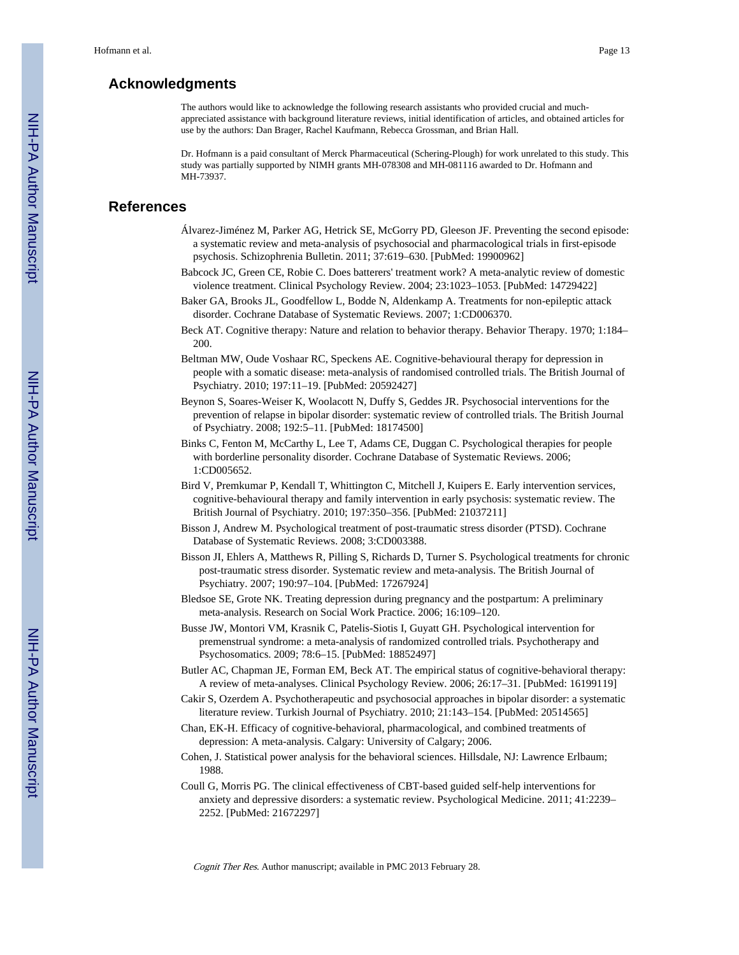# **Acknowledgments**

The authors would like to acknowledge the following research assistants who provided crucial and muchappreciated assistance with background literature reviews, initial identification of articles, and obtained articles for use by the authors: Dan Brager, Rachel Kaufmann, Rebecca Grossman, and Brian Hall.

Dr. Hofmann is a paid consultant of Merck Pharmaceutical (Schering-Plough) for work unrelated to this study. This study was partially supported by NIMH grants MH-078308 and MH-081116 awarded to Dr. Hofmann and MH-73937.

# **References**

- Álvarez-Jiménez M, Parker AG, Hetrick SE, McGorry PD, Gleeson JF. Preventing the second episode: a systematic review and meta-analysis of psychosocial and pharmacological trials in first-episode psychosis. Schizophrenia Bulletin. 2011; 37:619–630. [PubMed: 19900962]
- Babcock JC, Green CE, Robie C. Does batterers' treatment work? A meta-analytic review of domestic violence treatment. Clinical Psychology Review. 2004; 23:1023–1053. [PubMed: 14729422]
- Baker GA, Brooks JL, Goodfellow L, Bodde N, Aldenkamp A. Treatments for non-epileptic attack disorder. Cochrane Database of Systematic Reviews. 2007; 1:CD006370.
- Beck AT. Cognitive therapy: Nature and relation to behavior therapy. Behavior Therapy. 1970; 1:184– 200.
- Beltman MW, Oude Voshaar RC, Speckens AE. Cognitive-behavioural therapy for depression in people with a somatic disease: meta-analysis of randomised controlled trials. The British Journal of Psychiatry. 2010; 197:11–19. [PubMed: 20592427]
- Beynon S, Soares-Weiser K, Woolacott N, Duffy S, Geddes JR. Psychosocial interventions for the prevention of relapse in bipolar disorder: systematic review of controlled trials. The British Journal of Psychiatry. 2008; 192:5–11. [PubMed: 18174500]
- Binks C, Fenton M, McCarthy L, Lee T, Adams CE, Duggan C. Psychological therapies for people with borderline personality disorder. Cochrane Database of Systematic Reviews. 2006; 1:CD005652.
- Bird V, Premkumar P, Kendall T, Whittington C, Mitchell J, Kuipers E. Early intervention services, cognitive-behavioural therapy and family intervention in early psychosis: systematic review. The British Journal of Psychiatry. 2010; 197:350–356. [PubMed: 21037211]
- Bisson J, Andrew M. Psychological treatment of post-traumatic stress disorder (PTSD). Cochrane Database of Systematic Reviews. 2008; 3:CD003388.
- Bisson JI, Ehlers A, Matthews R, Pilling S, Richards D, Turner S. Psychological treatments for chronic post-traumatic stress disorder. Systematic review and meta-analysis. The British Journal of Psychiatry. 2007; 190:97–104. [PubMed: 17267924]
- Bledsoe SE, Grote NK. Treating depression during pregnancy and the postpartum: A preliminary meta-analysis. Research on Social Work Practice. 2006; 16:109–120.
- Busse JW, Montori VM, Krasnik C, Patelis-Siotis I, Guyatt GH. Psychological intervention for premenstrual syndrome: a meta-analysis of randomized controlled trials. Psychotherapy and Psychosomatics. 2009; 78:6–15. [PubMed: 18852497]
- Butler AC, Chapman JE, Forman EM, Beck AT. The empirical status of cognitive-behavioral therapy: A review of meta-analyses. Clinical Psychology Review. 2006; 26:17–31. [PubMed: 16199119]
- Cakir S, Ozerdem A. Psychotherapeutic and psychosocial approaches in bipolar disorder: a systematic literature review. Turkish Journal of Psychiatry. 2010; 21:143–154. [PubMed: 20514565]
- Chan, EK-H. Efficacy of cognitive-behavioral, pharmacological, and combined treatments of depression: A meta-analysis. Calgary: University of Calgary; 2006.
- Cohen, J. Statistical power analysis for the behavioral sciences. Hillsdale, NJ: Lawrence Erlbaum; 1988.
- Coull G, Morris PG. The clinical effectiveness of CBT-based guided self-help interventions for anxiety and depressive disorders: a systematic review. Psychological Medicine. 2011; 41:2239– 2252. [PubMed: 21672297]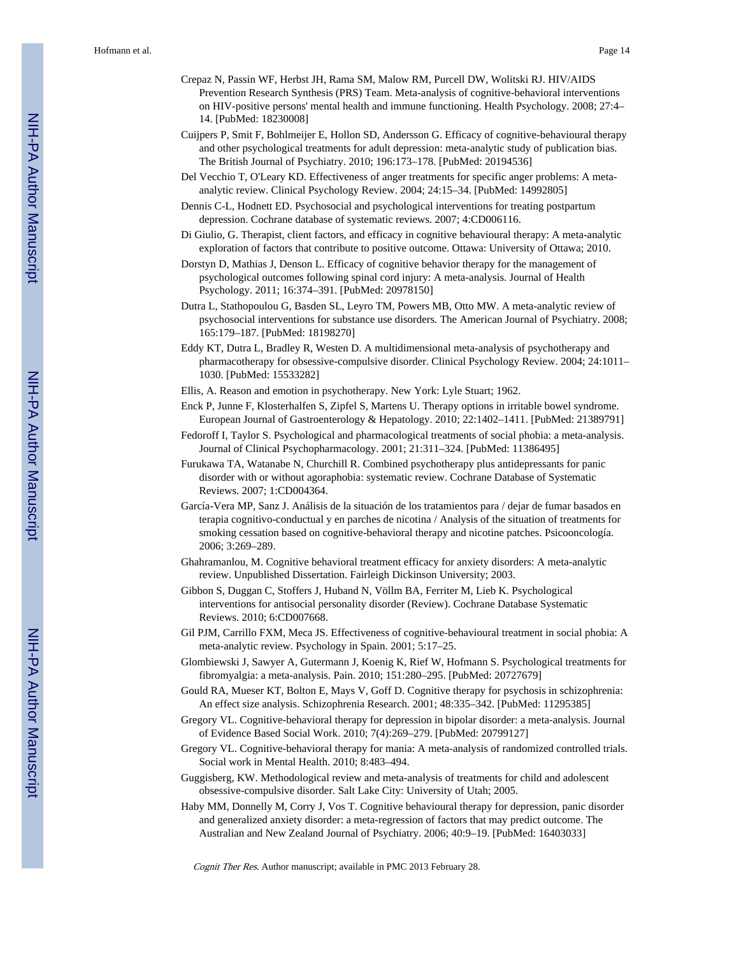- Crepaz N, Passin WF, Herbst JH, Rama SM, Malow RM, Purcell DW, Wolitski RJ. HIV/AIDS Prevention Research Synthesis (PRS) Team. Meta-analysis of cognitive-behavioral interventions on HIV-positive persons' mental health and immune functioning. Health Psychology. 2008; 27:4– 14. [PubMed: 18230008]
- Cuijpers P, Smit F, Bohlmeijer E, Hollon SD, Andersson G. Efficacy of cognitive-behavioural therapy and other psychological treatments for adult depression: meta-analytic study of publication bias. The British Journal of Psychiatry. 2010; 196:173–178. [PubMed: 20194536]
- Del Vecchio T, O'Leary KD. Effectiveness of anger treatments for specific anger problems: A metaanalytic review. Clinical Psychology Review. 2004; 24:15–34. [PubMed: 14992805]
- Dennis C-L, Hodnett ED. Psychosocial and psychological interventions for treating postpartum depression. Cochrane database of systematic reviews. 2007; 4:CD006116.
- Di Giulio, G. Therapist, client factors, and efficacy in cognitive behavioural therapy: A meta-analytic exploration of factors that contribute to positive outcome. Ottawa: University of Ottawa; 2010.
- Dorstyn D, Mathias J, Denson L. Efficacy of cognitive behavior therapy for the management of psychological outcomes following spinal cord injury: A meta-analysis. Journal of Health Psychology. 2011; 16:374–391. [PubMed: 20978150]
- Dutra L, Stathopoulou G, Basden SL, Leyro TM, Powers MB, Otto MW. A meta-analytic review of psychosocial interventions for substance use disorders. The American Journal of Psychiatry. 2008; 165:179–187. [PubMed: 18198270]
- Eddy KT, Dutra L, Bradley R, Westen D. A multidimensional meta-analysis of psychotherapy and pharmacotherapy for obsessive-compulsive disorder. Clinical Psychology Review. 2004; 24:1011– 1030. [PubMed: 15533282]
- Ellis, A. Reason and emotion in psychotherapy. New York: Lyle Stuart; 1962.
- Enck P, Junne F, Klosterhalfen S, Zipfel S, Martens U. Therapy options in irritable bowel syndrome. European Journal of Gastroenterology & Hepatology. 2010; 22:1402–1411. [PubMed: 21389791]
- Fedoroff I, Taylor S. Psychological and pharmacological treatments of social phobia: a meta-analysis. Journal of Clinical Psychopharmacology. 2001; 21:311–324. [PubMed: 11386495]
- Furukawa TA, Watanabe N, Churchill R. Combined psychotherapy plus antidepressants for panic disorder with or without agoraphobia: systematic review. Cochrane Database of Systematic Reviews. 2007; 1:CD004364.
- García-Vera MP, Sanz J. Análisis de la situación de los tratamientos para / dejar de fumar basados en terapia cognitivo-conductual y en parches de nicotina / Analysis of the situation of treatments for smoking cessation based on cognitive-behavioral therapy and nicotine patches. Psicooncología. 2006; 3:269–289.
- Ghahramanlou, M. Cognitive behavioral treatment efficacy for anxiety disorders: A meta-analytic review. Unpublished Dissertation. Fairleigh Dickinson University; 2003.
- Gibbon S, Duggan C, Stoffers J, Huband N, Völlm BA, Ferriter M, Lieb K. Psychological interventions for antisocial personality disorder (Review). Cochrane Database Systematic Reviews. 2010; 6:CD007668.
- Gil PJM, Carrillo FXM, Meca JS. Effectiveness of cognitive-behavioural treatment in social phobia: A meta-analytic review. Psychology in Spain. 2001; 5:17–25.
- Glombiewski J, Sawyer A, Gutermann J, Koenig K, Rief W, Hofmann S. Psychological treatments for fibromyalgia: a meta-analysis. Pain. 2010; 151:280–295. [PubMed: 20727679]
- Gould RA, Mueser KT, Bolton E, Mays V, Goff D. Cognitive therapy for psychosis in schizophrenia: An effect size analysis. Schizophrenia Research. 2001; 48:335–342. [PubMed: 11295385]
- Gregory VL. Cognitive-behavioral therapy for depression in bipolar disorder: a meta-analysis. Journal of Evidence Based Social Work. 2010; 7(4):269–279. [PubMed: 20799127]
- Gregory VL. Cognitive-behavioral therapy for mania: A meta-analysis of randomized controlled trials. Social work in Mental Health. 2010; 8:483–494.
- Guggisberg, KW. Methodological review and meta-analysis of treatments for child and adolescent obsessive-compulsive disorder. Salt Lake City: University of Utah; 2005.
- Haby MM, Donnelly M, Corry J, Vos T. Cognitive behavioural therapy for depression, panic disorder and generalized anxiety disorder: a meta-regression of factors that may predict outcome. The Australian and New Zealand Journal of Psychiatry. 2006; 40:9–19. [PubMed: 16403033]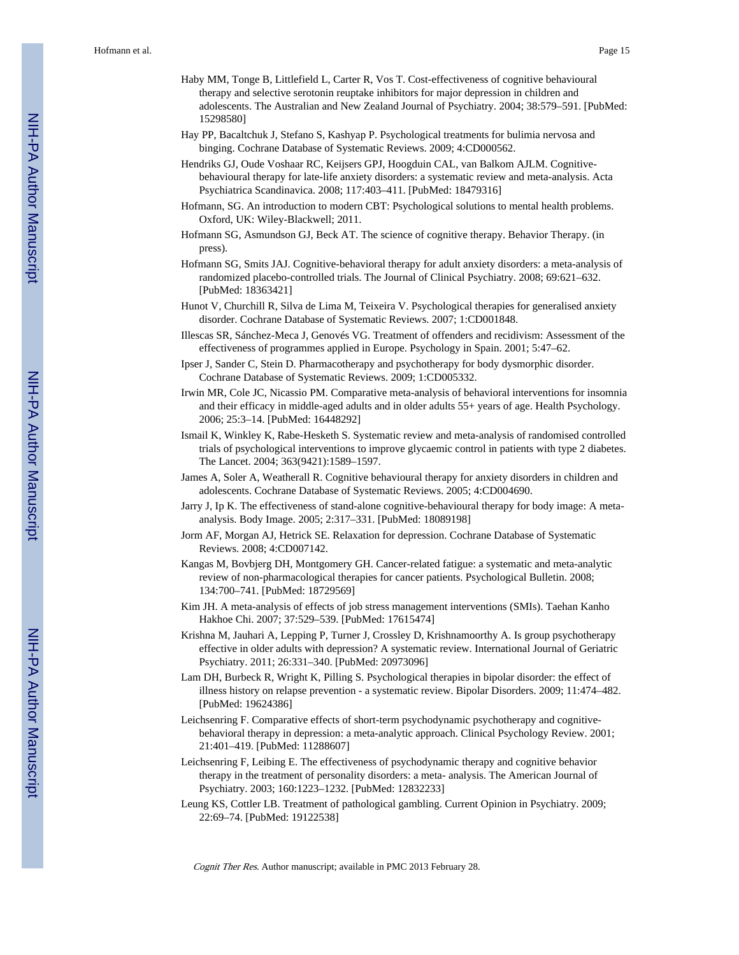- Haby MM, Tonge B, Littlefield L, Carter R, Vos T. Cost-effectiveness of cognitive behavioural therapy and selective serotonin reuptake inhibitors for major depression in children and adolescents. The Australian and New Zealand Journal of Psychiatry. 2004; 38:579–591. [PubMed: 15298580]
- Hay PP, Bacaltchuk J, Stefano S, Kashyap P. Psychological treatments for bulimia nervosa and binging. Cochrane Database of Systematic Reviews. 2009; 4:CD000562.
- Hendriks GJ, Oude Voshaar RC, Keijsers GPJ, Hoogduin CAL, van Balkom AJLM. Cognitivebehavioural therapy for late-life anxiety disorders: a systematic review and meta-analysis. Acta Psychiatrica Scandinavica. 2008; 117:403–411. [PubMed: 18479316]
- Hofmann, SG. An introduction to modern CBT: Psychological solutions to mental health problems. Oxford, UK: Wiley-Blackwell; 2011.
- Hofmann SG, Asmundson GJ, Beck AT. The science of cognitive therapy. Behavior Therapy. (in press).
- Hofmann SG, Smits JAJ. Cognitive-behavioral therapy for adult anxiety disorders: a meta-analysis of randomized placebo-controlled trials. The Journal of Clinical Psychiatry. 2008; 69:621–632. [PubMed: 18363421]
- Hunot V, Churchill R, Silva de Lima M, Teixeira V. Psychological therapies for generalised anxiety disorder. Cochrane Database of Systematic Reviews. 2007; 1:CD001848.
- Illescas SR, Sánchez-Meca J, Genovés VG. Treatment of offenders and recidivism: Assessment of the effectiveness of programmes applied in Europe. Psychology in Spain. 2001; 5:47–62.
- Ipser J, Sander C, Stein D. Pharmacotherapy and psychotherapy for body dysmorphic disorder. Cochrane Database of Systematic Reviews. 2009; 1:CD005332.
- Irwin MR, Cole JC, Nicassio PM. Comparative meta-analysis of behavioral interventions for insomnia and their efficacy in middle-aged adults and in older adults 55+ years of age. Health Psychology. 2006; 25:3–14. [PubMed: 16448292]
- Ismail K, Winkley K, Rabe-Hesketh S. Systematic review and meta-analysis of randomised controlled trials of psychological interventions to improve glycaemic control in patients with type 2 diabetes. The Lancet. 2004; 363(9421):1589–1597.
- James A, Soler A, Weatherall R. Cognitive behavioural therapy for anxiety disorders in children and adolescents. Cochrane Database of Systematic Reviews. 2005; 4:CD004690.
- Jarry J, Ip K. The effectiveness of stand-alone cognitive-behavioural therapy for body image: A metaanalysis. Body Image. 2005; 2:317–331. [PubMed: 18089198]
- Jorm AF, Morgan AJ, Hetrick SE. Relaxation for depression. Cochrane Database of Systematic Reviews. 2008; 4:CD007142.
- Kangas M, Bovbjerg DH, Montgomery GH. Cancer-related fatigue: a systematic and meta-analytic review of non-pharmacological therapies for cancer patients. Psychological Bulletin. 2008; 134:700–741. [PubMed: 18729569]
- Kim JH. A meta-analysis of effects of job stress management interventions (SMIs). Taehan Kanho Hakhoe Chi. 2007; 37:529–539. [PubMed: 17615474]
- Krishna M, Jauhari A, Lepping P, Turner J, Crossley D, Krishnamoorthy A. Is group psychotherapy effective in older adults with depression? A systematic review. International Journal of Geriatric Psychiatry. 2011; 26:331–340. [PubMed: 20973096]
- Lam DH, Burbeck R, Wright K, Pilling S. Psychological therapies in bipolar disorder: the effect of illness history on relapse prevention - a systematic review. Bipolar Disorders. 2009; 11:474–482. [PubMed: 19624386]
- Leichsenring F. Comparative effects of short-term psychodynamic psychotherapy and cognitivebehavioral therapy in depression: a meta-analytic approach. Clinical Psychology Review. 2001; 21:401–419. [PubMed: 11288607]
- Leichsenring F, Leibing E. The effectiveness of psychodynamic therapy and cognitive behavior therapy in the treatment of personality disorders: a meta- analysis. The American Journal of Psychiatry. 2003; 160:1223–1232. [PubMed: 12832233]
- Leung KS, Cottler LB. Treatment of pathological gambling. Current Opinion in Psychiatry. 2009; 22:69–74. [PubMed: 19122538]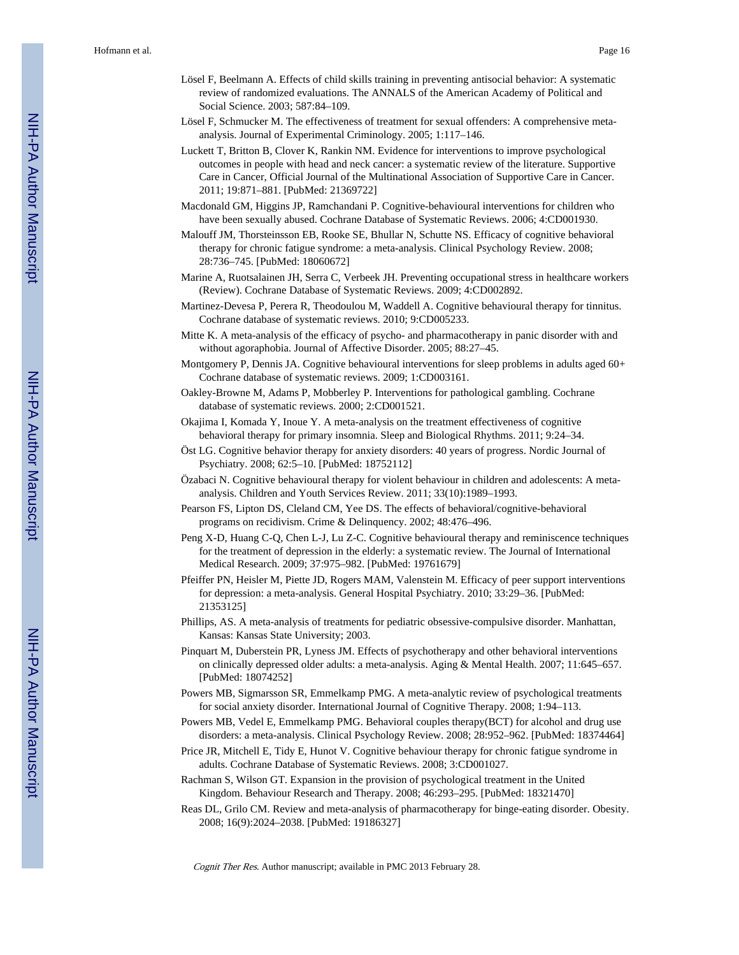- Lösel F, Beelmann A. Effects of child skills training in preventing antisocial behavior: A systematic review of randomized evaluations. The ANNALS of the American Academy of Political and Social Science. 2003; 587:84–109.
- Lösel F, Schmucker M. The effectiveness of treatment for sexual offenders: A comprehensive metaanalysis. Journal of Experimental Criminology. 2005; 1:117–146.
- Luckett T, Britton B, Clover K, Rankin NM. Evidence for interventions to improve psychological outcomes in people with head and neck cancer: a systematic review of the literature. Supportive Care in Cancer, Official Journal of the Multinational Association of Supportive Care in Cancer. 2011; 19:871–881. [PubMed: 21369722]
- Macdonald GM, Higgins JP, Ramchandani P. Cognitive-behavioural interventions for children who have been sexually abused. Cochrane Database of Systematic Reviews. 2006; 4:CD001930.
- Malouff JM, Thorsteinsson EB, Rooke SE, Bhullar N, Schutte NS. Efficacy of cognitive behavioral therapy for chronic fatigue syndrome: a meta-analysis. Clinical Psychology Review. 2008; 28:736–745. [PubMed: 18060672]
- Marine A, Ruotsalainen JH, Serra C, Verbeek JH. Preventing occupational stress in healthcare workers (Review). Cochrane Database of Systematic Reviews. 2009; 4:CD002892.
- Martinez-Devesa P, Perera R, Theodoulou M, Waddell A. Cognitive behavioural therapy for tinnitus. Cochrane database of systematic reviews. 2010; 9:CD005233.
- Mitte K. A meta-analysis of the efficacy of psycho- and pharmacotherapy in panic disorder with and without agoraphobia. Journal of Affective Disorder. 2005; 88:27–45.
- Montgomery P, Dennis JA. Cognitive behavioural interventions for sleep problems in adults aged 60+ Cochrane database of systematic reviews. 2009; 1:CD003161.
- Oakley-Browne M, Adams P, Mobberley P. Interventions for pathological gambling. Cochrane database of systematic reviews. 2000; 2:CD001521.
- Okajima I, Komada Y, Inoue Y. A meta-analysis on the treatment effectiveness of cognitive behavioral therapy for primary insomnia. Sleep and Biological Rhythms. 2011; 9:24–34.
- Öst LG. Cognitive behavior therapy for anxiety disorders: 40 years of progress. Nordic Journal of Psychiatry. 2008; 62:5–10. [PubMed: 18752112]
- Özabaci N. Cognitive behavioural therapy for violent behaviour in children and adolescents: A metaanalysis. Children and Youth Services Review. 2011; 33(10):1989–1993.
- Pearson FS, Lipton DS, Cleland CM, Yee DS. The effects of behavioral/cognitive-behavioral programs on recidivism. Crime & Delinquency. 2002; 48:476–496.
- Peng X-D, Huang C-Q, Chen L-J, Lu Z-C. Cognitive behavioural therapy and reminiscence techniques for the treatment of depression in the elderly: a systematic review. The Journal of International Medical Research. 2009; 37:975–982. [PubMed: 19761679]
- Pfeiffer PN, Heisler M, Piette JD, Rogers MAM, Valenstein M. Efficacy of peer support interventions for depression: a meta-analysis. General Hospital Psychiatry. 2010; 33:29–36. [PubMed: 21353125]
- Phillips, AS. A meta-analysis of treatments for pediatric obsessive-compulsive disorder. Manhattan, Kansas: Kansas State University; 2003.
- Pinquart M, Duberstein PR, Lyness JM. Effects of psychotherapy and other behavioral interventions on clinically depressed older adults: a meta-analysis. Aging & Mental Health. 2007; 11:645–657. [PubMed: 18074252]
- Powers MB, Sigmarsson SR, Emmelkamp PMG. A meta-analytic review of psychological treatments for social anxiety disorder. International Journal of Cognitive Therapy. 2008; 1:94–113.
- Powers MB, Vedel E, Emmelkamp PMG. Behavioral couples therapy(BCT) for alcohol and drug use disorders: a meta-analysis. Clinical Psychology Review. 2008; 28:952–962. [PubMed: 18374464]
- Price JR, Mitchell E, Tidy E, Hunot V. Cognitive behaviour therapy for chronic fatigue syndrome in adults. Cochrane Database of Systematic Reviews. 2008; 3:CD001027.
- Rachman S, Wilson GT. Expansion in the provision of psychological treatment in the United Kingdom. Behaviour Research and Therapy. 2008; 46:293–295. [PubMed: 18321470]
- Reas DL, Grilo CM. Review and meta-analysis of pharmacotherapy for binge-eating disorder. Obesity. 2008; 16(9):2024–2038. [PubMed: 19186327]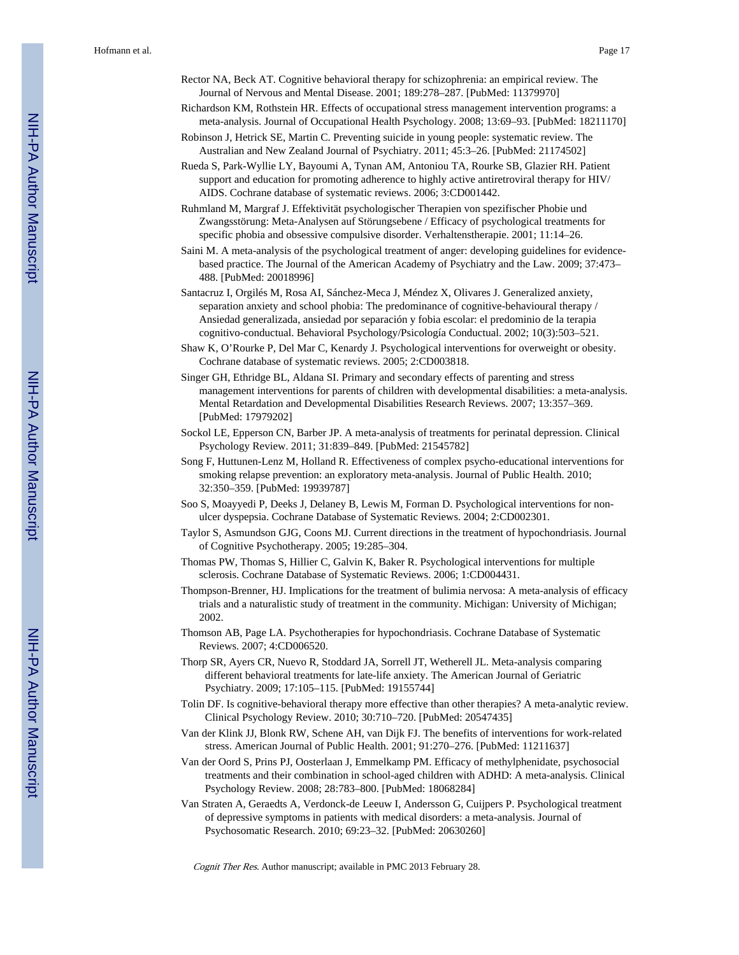- Rector NA, Beck AT. Cognitive behavioral therapy for schizophrenia: an empirical review. The Journal of Nervous and Mental Disease. 2001; 189:278–287. [PubMed: 11379970]
- Richardson KM, Rothstein HR. Effects of occupational stress management intervention programs: a meta-analysis. Journal of Occupational Health Psychology. 2008; 13:69–93. [PubMed: 18211170]
- Robinson J, Hetrick SE, Martin C. Preventing suicide in young people: systematic review. The Australian and New Zealand Journal of Psychiatry. 2011; 45:3–26. [PubMed: 21174502]
- Rueda S, Park-Wyllie LY, Bayoumi A, Tynan AM, Antoniou TA, Rourke SB, Glazier RH. Patient support and education for promoting adherence to highly active antiretroviral therapy for HIV/ AIDS. Cochrane database of systematic reviews. 2006; 3:CD001442.
- Ruhmland M, Margraf J. Effektivität psychologischer Therapien von spezifischer Phobie und Zwangsstörung: Meta-Analysen auf Störungsebene / Efficacy of psychological treatments for specific phobia and obsessive compulsive disorder. Verhaltenstherapie. 2001; 11:14–26.
- Saini M. A meta-analysis of the psychological treatment of anger: developing guidelines for evidencebased practice. The Journal of the American Academy of Psychiatry and the Law. 2009; 37:473– 488. [PubMed: 20018996]
- Santacruz I, Orgilés M, Rosa AI, Sánchez-Meca J, Méndez X, Olivares J. Generalized anxiety, separation anxiety and school phobia: The predominance of cognitive-behavioural therapy / Ansiedad generalizada, ansiedad por separación y fobia escolar: el predominio de la terapia cognitivo-conductual. Behavioral Psychology/Psicología Conductual. 2002; 10(3):503–521.
- Shaw K, O'Rourke P, Del Mar C, Kenardy J. Psychological interventions for overweight or obesity. Cochrane database of systematic reviews. 2005; 2:CD003818.
- Singer GH, Ethridge BL, Aldana SI. Primary and secondary effects of parenting and stress management interventions for parents of children with developmental disabilities: a meta-analysis. Mental Retardation and Developmental Disabilities Research Reviews. 2007; 13:357–369. [PubMed: 17979202]
- Sockol LE, Epperson CN, Barber JP. A meta-analysis of treatments for perinatal depression. Clinical Psychology Review. 2011; 31:839–849. [PubMed: 21545782]
- Song F, Huttunen-Lenz M, Holland R. Effectiveness of complex psycho-educational interventions for smoking relapse prevention: an exploratory meta-analysis. Journal of Public Health. 2010; 32:350–359. [PubMed: 19939787]
- Soo S, Moayyedi P, Deeks J, Delaney B, Lewis M, Forman D. Psychological interventions for nonulcer dyspepsia. Cochrane Database of Systematic Reviews. 2004; 2:CD002301.
- Taylor S, Asmundson GJG, Coons MJ. Current directions in the treatment of hypochondriasis. Journal of Cognitive Psychotherapy. 2005; 19:285–304.
- Thomas PW, Thomas S, Hillier C, Galvin K, Baker R. Psychological interventions for multiple sclerosis. Cochrane Database of Systematic Reviews. 2006; 1:CD004431.
- Thompson-Brenner, HJ. Implications for the treatment of bulimia nervosa: A meta-analysis of efficacy trials and a naturalistic study of treatment in the community. Michigan: University of Michigan; 2002.
- Thomson AB, Page LA. Psychotherapies for hypochondriasis. Cochrane Database of Systematic Reviews. 2007; 4:CD006520.
- Thorp SR, Ayers CR, Nuevo R, Stoddard JA, Sorrell JT, Wetherell JL. Meta-analysis comparing different behavioral treatments for late-life anxiety. The American Journal of Geriatric Psychiatry. 2009; 17:105–115. [PubMed: 19155744]
- Tolin DF. Is cognitive-behavioral therapy more effective than other therapies? A meta-analytic review. Clinical Psychology Review. 2010; 30:710–720. [PubMed: 20547435]
- Van der Klink JJ, Blonk RW, Schene AH, van Dijk FJ. The benefits of interventions for work-related stress. American Journal of Public Health. 2001; 91:270–276. [PubMed: 11211637]
- Van der Oord S, Prins PJ, Oosterlaan J, Emmelkamp PM. Efficacy of methylphenidate, psychosocial treatments and their combination in school-aged children with ADHD: A meta-analysis. Clinical Psychology Review. 2008; 28:783–800. [PubMed: 18068284]
- Van Straten A, Geraedts A, Verdonck-de Leeuw I, Andersson G, Cuijpers P. Psychological treatment of depressive symptoms in patients with medical disorders: a meta-analysis. Journal of Psychosomatic Research. 2010; 69:23–32. [PubMed: 20630260]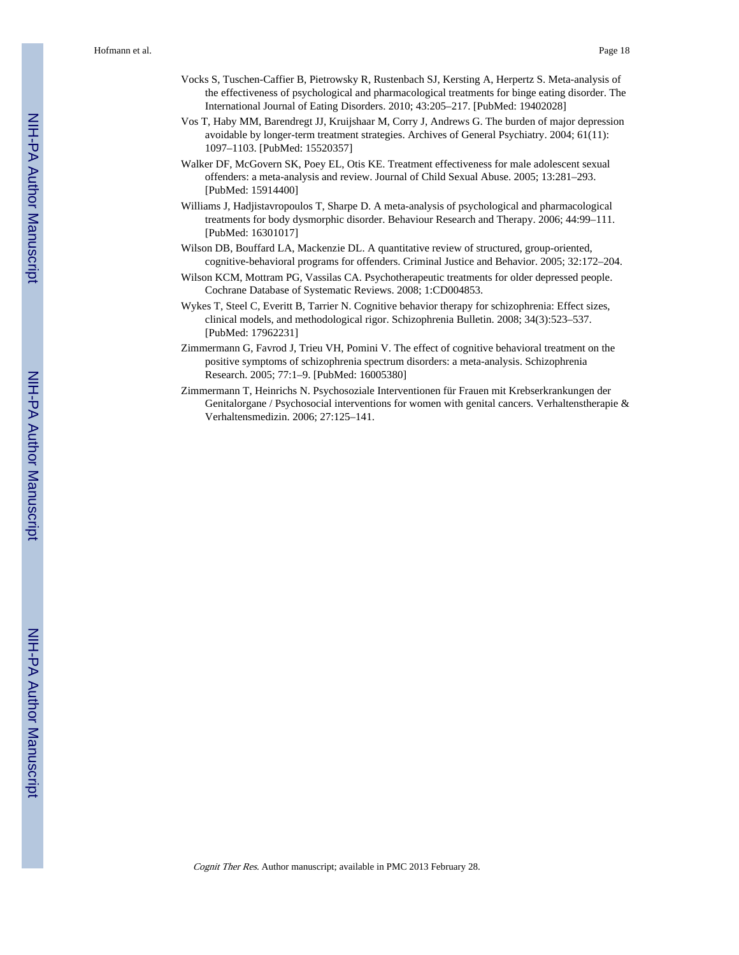- Vocks S, Tuschen-Caffier B, Pietrowsky R, Rustenbach SJ, Kersting A, Herpertz S. Meta-analysis of the effectiveness of psychological and pharmacological treatments for binge eating disorder. The International Journal of Eating Disorders. 2010; 43:205–217. [PubMed: 19402028]
- Vos T, Haby MM, Barendregt JJ, Kruijshaar M, Corry J, Andrews G. The burden of major depression avoidable by longer-term treatment strategies. Archives of General Psychiatry. 2004; 61(11): 1097–1103. [PubMed: 15520357]
- Walker DF, McGovern SK, Poey EL, Otis KE. Treatment effectiveness for male adolescent sexual offenders: a meta-analysis and review. Journal of Child Sexual Abuse. 2005; 13:281–293. [PubMed: 15914400]
- Williams J, Hadjistavropoulos T, Sharpe D. A meta-analysis of psychological and pharmacological treatments for body dysmorphic disorder. Behaviour Research and Therapy. 2006; 44:99–111. [PubMed: 16301017]
- Wilson DB, Bouffard LA, Mackenzie DL. A quantitative review of structured, group-oriented, cognitive-behavioral programs for offenders. Criminal Justice and Behavior. 2005; 32:172–204.
- Wilson KCM, Mottram PG, Vassilas CA. Psychotherapeutic treatments for older depressed people. Cochrane Database of Systematic Reviews. 2008; 1:CD004853.
- Wykes T, Steel C, Everitt B, Tarrier N. Cognitive behavior therapy for schizophrenia: Effect sizes, clinical models, and methodological rigor. Schizophrenia Bulletin. 2008; 34(3):523–537. [PubMed: 17962231]
- Zimmermann G, Favrod J, Trieu VH, Pomini V. The effect of cognitive behavioral treatment on the positive symptoms of schizophrenia spectrum disorders: a meta-analysis. Schizophrenia Research. 2005; 77:1–9. [PubMed: 16005380]
- Zimmermann T, Heinrichs N. Psychosoziale Interventionen für Frauen mit Krebserkrankungen der Genitalorgane / Psychosocial interventions for women with genital cancers. Verhaltenstherapie & Verhaltensmedizin. 2006; 27:125–141.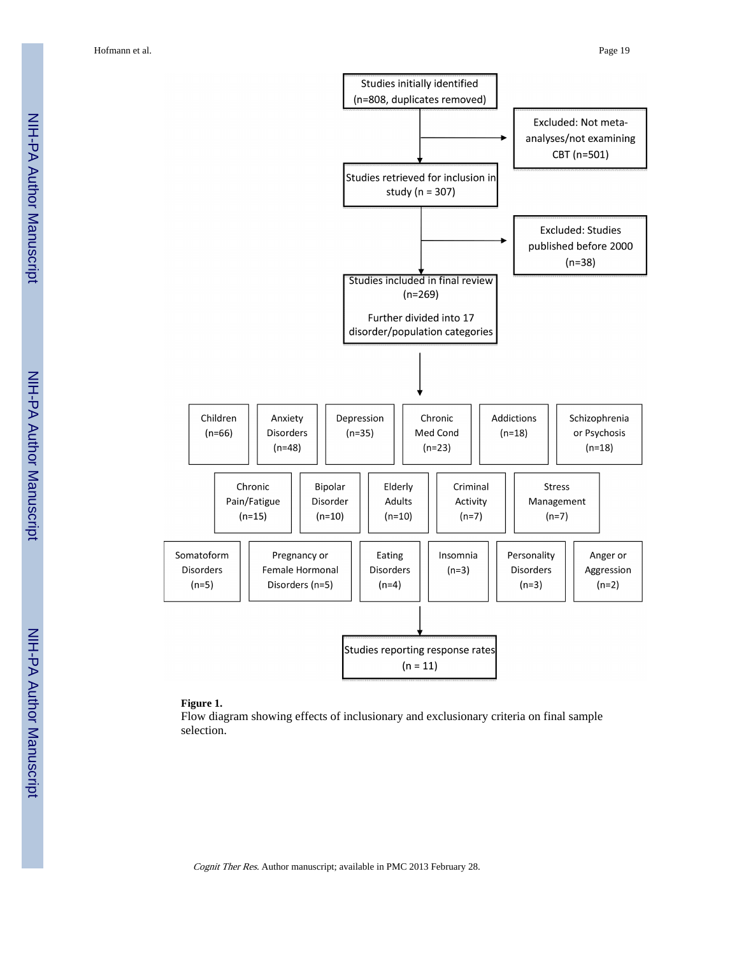Hofmann et al. Page 19



#### **Figure 1.**

Flow diagram showing effects of inclusionary and exclusionary criteria on final sample selection.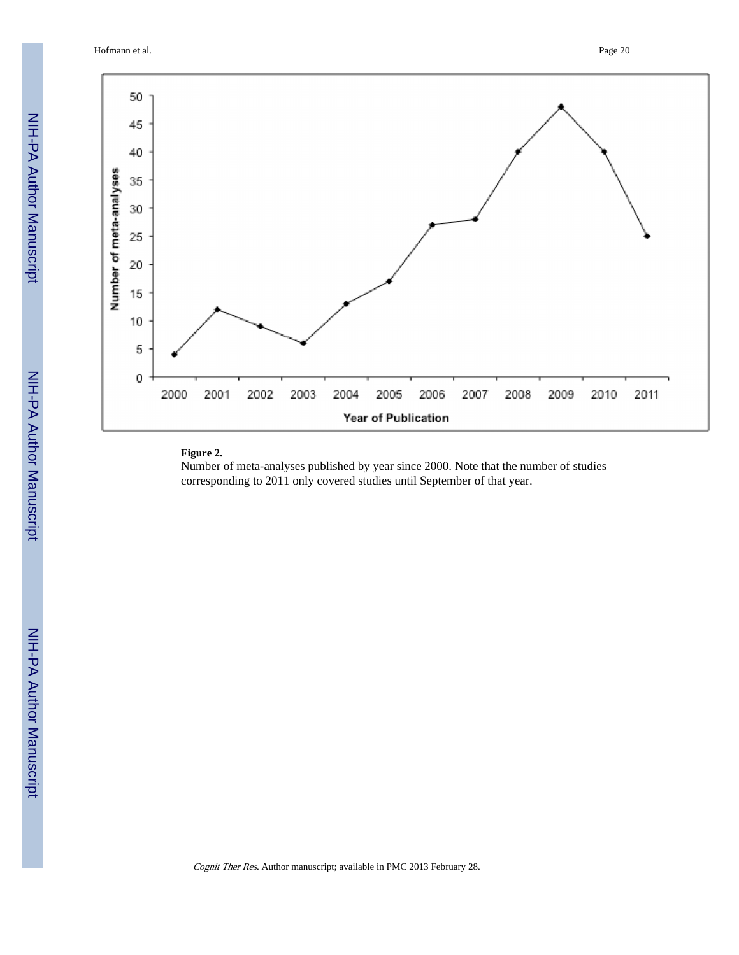Hofmann et al. Page 20



#### **Figure 2.**